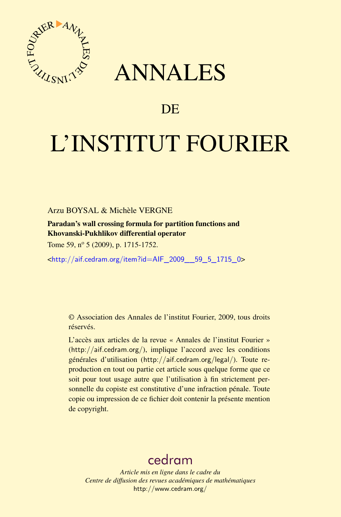

## ANNALES

## **DE**

# L'INSTITUT FOURIER

Arzu BOYSAL & Michèle VERGNE

Paradan's wall crossing formula for partition functions and Khovanski-Pukhlikov differential operator

Tome 59, n<sup>o</sup> 5 (2009), p. 1715-1752.

<[http://aif.cedram.org/item?id=AIF\\_2009\\_\\_59\\_5\\_1715\\_0](http://aif.cedram.org/item?id=AIF_2009__59_5_1715_0)>

© Association des Annales de l'institut Fourier, 2009, tous droits réservés.

L'accès aux articles de la revue « Annales de l'institut Fourier » (<http://aif.cedram.org/>), implique l'accord avec les conditions générales d'utilisation (<http://aif.cedram.org/legal/>). Toute reproduction en tout ou partie cet article sous quelque forme que ce soit pour tout usage autre que l'utilisation à fin strictement personnelle du copiste est constitutive d'une infraction pénale. Toute copie ou impression de ce fichier doit contenir la présente mention de copyright.

## [cedram](http://www.cedram.org/)

*Article mis en ligne dans le cadre du Centre de diffusion des revues académiques de mathématiques* <http://www.cedram.org/>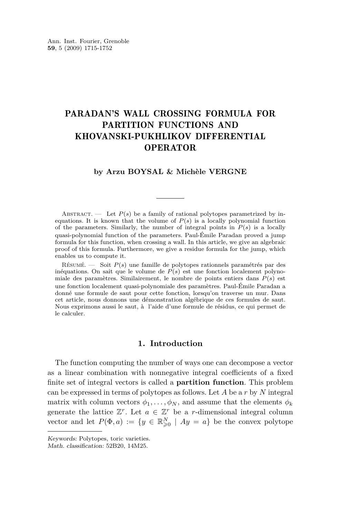### PARADAN'S WALL CROSSING FORMULA FOR PARTITION FUNCTIONS AND KHOVANSKI-PUKHLIKOV DIFFERENTIAL OPERATOR

#### **by Arzu BOYSAL & Michèle VERGNE**

ABSTRACT. — Let  $P(s)$  be a family of rational polytopes parametrized by inequations. It is known that the volume of  $P(s)$  is a locally polynomial function of the parameters. Similarly, the number of integral points in  $P(s)$  is a locally quasi-polynomial function of the parameters. Paul-Émile Paradan proved a jump formula for this function, when crossing a wall. In this article, we give an algebraic proof of this formula. Furthermore, we give a residue formula for the jump, which enables us to compute it.

Résumé. — Soit *P*(*s*) une famille de polytopes rationnels paramétrés par des inéquations. On sait que le volume de  $\overline{P}(s)$  est une fonction localement polynomiale des paramètres. Similairement, le nombre de points entiers dans *P*(*s*) est une fonction localement quasi-polynomiale des paramètres. Paul-Émile Paradan a donné une formule de saut pour cette fonction, lorsqu'on traverse un mur. Dans cet article, nous donnons une démonstration algébrique de ces formules de saut. Nous exprimons aussi le saut, à l'aide d'une formule de résidus, ce qui permet de le calculer.

#### **1. Introduction**

The function computing the number of ways one can decompose a vector as a linear combination with nonnegative integral coefficients of a fixed finite set of integral vectors is called a **partition function**. This problem can be expressed in terms of polytopes as follows. Let *A* be a *r* by *N* integral matrix with column vectors  $\phi_1, \ldots, \phi_N$ , and assume that the elements  $\phi_k$ generate the lattice  $\mathbb{Z}^r$ . Let  $a \in \mathbb{Z}^r$  be a *r*-dimensional integral column vector and let  $P(\Phi, a) := \{y \in \mathbb{R}^N_{\geq 0} \mid Ay = a\}$  be the convex polytope

Keywords: Polytopes, toric varieties.

Math. classification: 52B20, 14M25.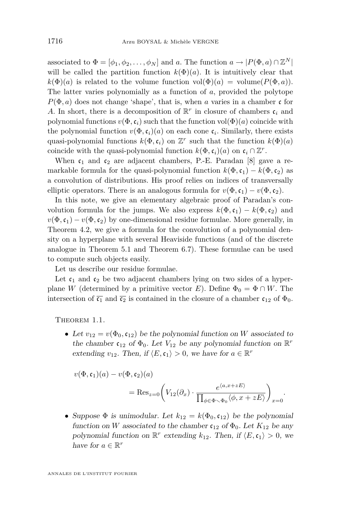associated to  $\Phi = [\phi_1, \phi_2, \dots, \phi_N]$  and *a*. The function  $a \to |P(\Phi, a) \cap \mathbb{Z}^N|$ will be called the partition function  $k(\Phi)(a)$ . It is intuitively clear that  $k(\Phi)(a)$  is related to the volume function  $vol(\Phi)(a) = \text{volume}(P(\Phi, a)).$ The latter varies polynomially as a function of *a*, provided the polytope  $P(\Phi, a)$  does not change 'shape', that is, when *a* varies in a chamber c for A. In short, there is a decomposition of  $\mathbb{R}^r$  in closure of chambers  $\mathfrak{c}_i$  and polynomial functions  $v(\Phi, \mathfrak{c}_i)$  such that the function  $vol(\Phi)(a)$  coincide with the polynomial function  $v(\Phi, \mathfrak{c}_i)(a)$  on each cone  $\mathfrak{c}_i$ . Similarly, there exists quasi-polynomial functions  $k(\Phi, \mathfrak{c}_i)$  on  $\mathbb{Z}^r$  such that the function  $k(\Phi)(a)$ coincide with the quasi-polynomial function  $k(\Phi, \mathfrak{c}_i)(a)$  on  $\mathfrak{c}_i \cap \mathbb{Z}^r$ .

When  $c_1$  and  $c_2$  are adjacent chambers, P.-E. Paradan [\[8\]](#page-38-0) gave a remarkable formula for the quasi-polynomial function  $k(\Phi, \mathfrak{c}_1) - k(\Phi, \mathfrak{c}_2)$  as a convolution of distributions. His proof relies on indices of transversally elliptic operators. There is an analogous formula for  $v(\Phi, \mathfrak{c}_1) - v(\Phi, \mathfrak{c}_2)$ .

In this note, we give an elementary algebraic proof of Paradan's convolution formula for the jumps. We also express  $k(\Phi, \mathfrak{c}_1) - k(\Phi, \mathfrak{c}_2)$  and  $v(\Phi, \mathfrak{c}_1) - v(\Phi, \mathfrak{c}_2)$  by one-dimensional residue formulae. More generally, in Theorem [4.2,](#page-12-0) we give a formula for the convolution of a polynomial density on a hyperplane with several Heaviside functions (and of the discrete analogue in Theorem [5.1](#page-18-0) and Theorem [6.7\)](#page-28-0). These formulae can be used to compute such objects easily.

Let us describe our residue formulae.

Let  $c_1$  and  $c_2$  be two adjacent chambers lying on two sides of a hyperplane *W* (determined by a primitive vector *E*). Define  $\Phi_0 = \Phi \cap W$ . The intersection of  $\overline{c_1}$  and  $\overline{c_2}$  is contained in the closure of a chamber  $c_{12}$  of  $\Phi_0$ .

THEOREM 1.1.

• Let  $v_{12} = v(\Phi_0, \mathfrak{c}_{12})$  be the polynomial function on *W* associated to the chamber  $c_{12}$  of  $\Phi_0$ . Let  $V_{12}$  be any polynomial function on  $\mathbb{R}^r$ extending  $v_{12}$ . Then, if  $\langle E, \mathfrak{c}_1 \rangle > 0$ , we have for  $a \in \mathbb{R}^r$ 

$$
v(\Phi, \mathfrak{c}_1)(a) - v(\Phi, \mathfrak{c}_2)(a)
$$
  
= Res<sub>z=0</sub> $\left(V_{12}(\partial_x) \cdot \frac{e^{\langle a, x+zE\rangle}}{\prod_{\phi \in \Phi \setminus \Phi_0} \langle \phi, x+zE\rangle}\right)_{x=0}.$ 

• Suppose  $\Phi$  is unimodular. Let  $k_{12} = k(\Phi_0, \mathfrak{c}_{12})$  be the polynomial function on *W* associated to the chamber  $c_{12}$  of  $\Phi_0$ . Let  $K_{12}$  be any polynomial function on  $\mathbb{R}^r$  extending  $k_{12}$ . Then, if  $\langle E, \mathfrak{c}_1 \rangle > 0$ , we have for  $a \in \mathbb{R}^r$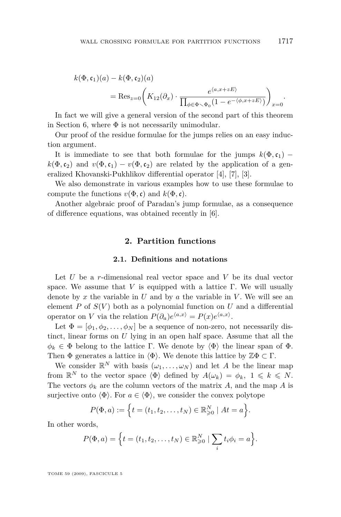<span id="page-3-0"></span>
$$
k(\Phi, \mathfrak{c}_1)(a) - k(\Phi, \mathfrak{c}_2)(a)
$$
  
= Res<sub>z=0</sub> $\left(K_{12}(\partial_x) \cdot \frac{e^{\langle a, x+zE \rangle}}{\prod_{\phi \in \Phi \setminus \Phi_0} (1 - e^{-\langle \phi, x+zE \rangle})}\right)_{x=0}.$ 

In fact we will give a general version of the second part of this theorem in Section [6,](#page-26-0) where  $\Phi$  is not necessarily unimodular.

Our proof of the residue formulae for the jumps relies on an easy induction argument.

It is immediate to see that both formulae for the jumps  $k(\Phi, c_1)$  *−*  $k(\Phi, c_2)$  and  $v(\Phi, c_1) - v(\Phi, c_2)$  are related by the application of a generalized Khovanski-Pukhlikov differential operator [\[4\]](#page-38-0), [\[7\]](#page-38-0), [\[3\]](#page-38-0).

We also demonstrate in various examples how to use these formulae to compute the functions  $v(\Phi, \mathfrak{c})$  and  $k(\Phi, \mathfrak{c})$ .

Another algebraic proof of Paradan's jump formulae, as a consequence of difference equations, was obtained recently in [\[6\]](#page-38-0).

#### **2. Partition functions**

#### **2.1. Definitions and notations**

Let *U* be a *r*-dimensional real vector space and *V* be its dual vector space. We assume that *V* is equipped with a lattice Γ. We will usually denote by  $x$  the variable in  $U$  and by  $a$  the variable in  $V$ . We will see an element  $P$  of  $S(V)$  both as a polynomial function on  $U$  and a differential operator on *V* via the relation  $P(\partial_a)e^{\langle a,x\rangle} = P(x)e^{\langle a,x\rangle}$ .

Let  $\Phi = [\phi_1, \phi_2, \dots, \phi_N]$  be a sequence of non-zero, not necessarily distinct, linear forms on *U* lying in an open half space. Assume that all the  $\phi_k \in \Phi$  belong to the lattice Γ. We denote by  $\langle \Phi \rangle$  the linear span of  $\Phi$ . Then  $\Phi$  generates a lattice in  $\langle \Phi \rangle$ . We denote this lattice by  $\mathbb{Z}\Phi \subset \Gamma$ .

We consider  $\mathbb{R}^N$  with basis  $(\omega_1, \ldots, \omega_N)$  and let *A* be the linear map from  $\mathbb{R}^N$  to the vector space  $\langle \Phi \rangle$  defined by  $A(\omega_k) = \phi_k$ ,  $1 \leq k \leq N$ . The vectors  $\phi_k$  are the column vectors of the matrix *A*, and the map *A* is surjective onto  $\langle \Phi \rangle$ . For  $a \in \langle \Phi \rangle$ , we consider the convex polytope

$$
P(\Phi, a) := \Big\{ t = (t_1, t_2, \dots, t_N) \in \mathbb{R}^N_{\geq 0} \mid At = a \Big\}.
$$

In other words,

$$
P(\Phi, a) = \Big\{ t = (t_1, t_2, \dots, t_N) \in \mathbb{R}^N_{\geq 0} \mid \sum_i t_i \phi_i = a \Big\}.
$$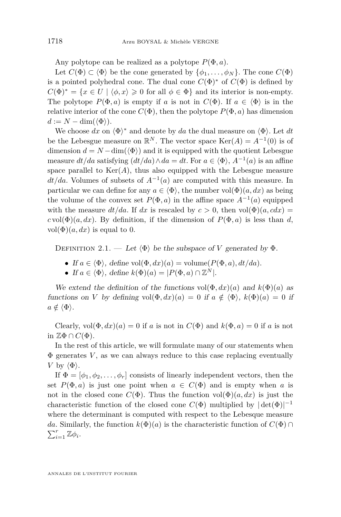<span id="page-4-0"></span>Any polytope can be realized as a polytope *P*(Φ*, a*).

Let  $C(\Phi) \subset \langle \Phi \rangle$  be the cone generated by  $\{\phi_1, \ldots, \phi_N\}$ . The cone  $C(\Phi)$ is a pointed polyhedral cone. The dual cone  $C(\Phi)^*$  of  $C(\Phi)$  is defined by  $C(\Phi)^* = \{x \in U \mid \langle \phi, x \rangle \geq 0 \text{ for all } \phi \in \Phi\}$  and its interior is non-empty. The polytope  $P(\Phi, a)$  is empty if *a* is not in  $C(\Phi)$ . If  $a \in \langle \Phi \rangle$  is in the relative interior of the cone  $C(\Phi)$ , then the polytope  $P(\Phi, a)$  has dimension  $d := N - \dim(\langle \Phi \rangle)$ .

We choose  $dx$  on  $\langle \Phi \rangle^*$  and denote by  $da$  the dual measure on  $\langle \Phi \rangle$ . Let  $dt$ be the Lebesgue measure on  $\mathbb{R}^N$ . The vector space  $\text{Ker}(A) = A^{-1}(0)$  is of dimension  $d = N - \dim(\langle \Phi \rangle)$  and it is equipped with the quotient Lebesgue measure  $dt/da$  satisfying  $(dt/da) \wedge da = dt$ . For  $a \in \langle \Phi \rangle$ ,  $A^{-1}(a)$  is an affine space parallel to  $\text{Ker}(A)$ , thus also equipped with the Lebesgue measure *dt/da*. Volumes of subsets of  $A^{-1}(a)$  are computed with this measure. In particular we can define for any  $a \in \langle \Phi \rangle$ , the number vol $(\Phi)(a, dx)$  as being the volume of the convex set  $P(\Phi, a)$  in the affine space  $A^{-1}(a)$  equipped with the measure  $dt/da$ . If  $dx$  is rescaled by  $c > 0$ , then  $vol(\Phi)(a, cdx) =$  $c \text{vol}(\Phi)(a, dx)$ . By definition, if the dimension of  $P(\Phi, a)$  is less than *d*,  $vol(\Phi)(a, dx)$  is equal to 0.

DEFINITION 2.1. — Let  $\langle \Phi \rangle$  be the subspace of *V* generated by  $\Phi$ .

- If  $a \in \langle \Phi \rangle$ , define vol $(\Phi, dx)(a) =$  volume $(P(\Phi, a), dt/da)$ .
- If  $a \in \langle \Phi \rangle$ , define  $k(\Phi)(a) = |P(\Phi, a) \cap \mathbb{Z}^N|$ .

We extend the definition of the functions  $vol(\Phi, dx)(a)$  and  $k(\Phi)(a)$  as functions on *V* by defining  $vol(\Phi, dx)(a) = 0$  if  $a \notin \langle \Phi \rangle$ ,  $k(\Phi)(a) = 0$  if  $a \notin \langle \Phi \rangle$ .

Clearly,  $vol(\Phi, dx)(a) = 0$  if *a* is not in  $C(\Phi)$  and  $k(\Phi, a) = 0$  if *a* is not in  $\mathbb{Z}\Phi \cap C(\Phi)$ .

In the rest of this article, we will formulate many of our statements when  $\Phi$  generates  $V$ , as we can always reduce to this case replacing eventually *V* by  $\langle \Phi \rangle$ .

If  $\Phi = [\phi_1, \phi_2, \dots, \phi_r]$  consists of linearly independent vectors, then the set  $P(\Phi, a)$  is just one point when  $a \in C(\Phi)$  and is empty when a is not in the closed cone  $C(\Phi)$ . Thus the function  $vol(\Phi)(a, dx)$  is just the characteristic function of the closed cone  $C(\Phi)$  multiplied by  $|det(\Phi)|^{-1}$ where the determinant is computed with respect to the Lebesque measure *da*. Similarly, the function  $k(\Phi)(a)$  is the characteristic function of  $C(\Phi) \cap \Phi$  $\sum_{i=1}^r \mathbb{Z} \phi_i$ .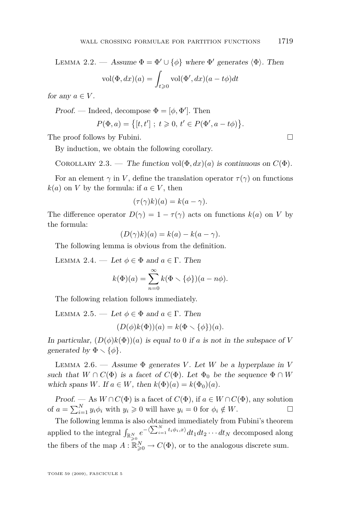<span id="page-5-0"></span>LEMMA 2.2. — Assume  $\Phi = \Phi' \cup {\phi}$  where  $\Phi'$  generates  $\langle \Phi \rangle$ . Then  $vol(\Phi, dx)(a) = \Box$ *t*>0  $vol(\Phi', dx)(a - t\phi)dt$ 

for any  $a \in V$ .

Proof. — Indeed, decompose  $\Phi = [\phi, \Phi']$ . Then

$$
P(\Phi, a) = \{ [t, t'] ; t \geq 0, t' \in P(\Phi', a - t\phi) \}.
$$

The proof follows by Fubini.

By induction, we obtain the following corollary.

COROLLARY 2.3. — The function vol $(\Phi, dx)(a)$  is continuous on  $C(\Phi)$ .

For an element  $\gamma$  in *V*, define the translation operator  $\tau(\gamma)$  on functions  $k(a)$  on *V* by the formula: if  $a \in V$ , then

$$
(\tau(\gamma)k)(a) = k(a - \gamma).
$$

The difference operator  $D(\gamma) = 1 - \tau(\gamma)$  acts on functions  $k(a)$  on *V* by the formula:

$$
(D(\gamma)k)(a) = k(a) - k(a - \gamma).
$$

The following lemma is obvious from the definition.

LEMMA 2.4. — Let  $\phi \in \Phi$  and  $a \in \Gamma$ . Then

$$
k(\Phi)(a) = \sum_{n=0}^{\infty} k(\Phi \setminus {\phi}) (a - n\phi).
$$

The following relation follows immediately.

LEMMA 2.5. — Let  $\phi \in \Phi$  and  $a \in \Gamma$ . Then

$$
(D(\phi)k(\Phi))(a) = k(\Phi \setminus {\phi})(a).
$$

In particular,  $(D(\phi)k(\Phi))(a)$  is equal to 0 if *a* is not in the subspace of *V* generated by  $\Phi \setminus {\phi}$ .

LEMMA 2.6. — Assume  $\Phi$  generates *V*. Let *W* be a hyperplane in *V* such that  $W \cap C(\Phi)$  is a facet of  $C(\Phi)$ . Let  $\Phi_0$  be the sequence  $\Phi \cap W$ which spans *W*. If  $a \in W$ , then  $k(\Phi)(a) = k(\Phi_0)(a)$ .

Proof. — As  $W \cap C(\Phi)$  is a facet of  $C(\Phi)$ , if  $a \in W \cap C(\Phi)$ , any solution of  $a = \sum_{i=1}^{N} y_i \phi_i$  with  $y_i \geq 0$  will have  $y_i = 0$  for  $\phi_i \notin W$ .

The following lemma is also obtained immediately from Fubini's theorem applied to the integral  $\int_{\mathbb{R}_{\geqslant 0}^N} e^{-\langle \sum_{i=1}^N t_i \phi_i, x \rangle} dt_1 dt_2 \cdots dt_N$  decomposed along the fibers of the map  $A: \mathbb{R}^N_{\geq 0} \to C(\Phi)$ , or to the analogous discrete sum.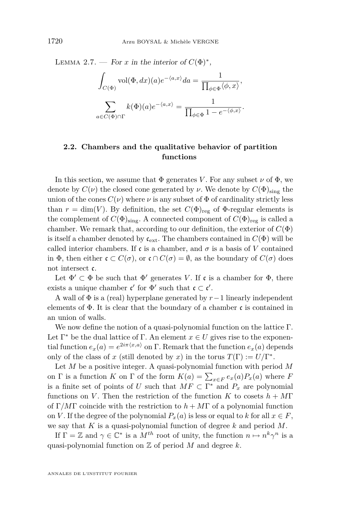LEMMA 2.7. — For *x* in the interior of  $C(\Phi)^*$ ,

$$
\int_{C(\Phi)} \text{vol}(\Phi, dx)(a) e^{-\langle a, x \rangle} da = \frac{1}{\prod_{\phi \in \Phi} \langle \phi, x \rangle},
$$

$$
\sum_{a \in C(\Phi) \cap \Gamma} k(\Phi)(a) e^{-\langle a, x \rangle} = \frac{1}{\prod_{\phi \in \Phi} 1 - e^{-\langle \phi, x \rangle}}.
$$

#### **2.2. Chambers and the qualitative behavior of partition functions**

In this section, we assume that  $\Phi$  generates *V*. For any subset  $\nu$  of  $\Phi$ , we denote by  $C(\nu)$  the closed cone generated by  $\nu$ . We denote by  $C(\Phi)_{\text{sing}}$  the union of the cones  $C(\nu)$  where  $\nu$  is any subset of  $\Phi$  of cardinality strictly less than  $r = \dim(V)$ . By definition, the set  $C(\Phi)_{reg}$  of  $\Phi$ -regular elements is the complement of  $C(\Phi)_{\text{sing}}$ . A connected component of  $C(\Phi)_{\text{reg}}$  is called a chamber. We remark that, according to our definition, the exterior of  $C(\Phi)$ is itself a chamber denoted by  $\mathfrak{c}_{ext}$ . The chambers contained in  $C(\Phi)$  will be called interior chambers. If c is a chamber, and  $\sigma$  is a basis of V contained in  $\Phi$ , then either  $\mathfrak{c} \subset C(\sigma)$ , or  $\mathfrak{c} \cap C(\sigma) = \emptyset$ , as the boundary of  $C(\sigma)$  does not intersect c.

Let  $\Phi' \subset \Phi$  be such that  $\Phi'$  generates *V*. If c is a chamber for  $\Phi$ , there exists a unique chamber  $\mathfrak{c}'$  for  $\Phi'$  such that  $\mathfrak{c} \subset \mathfrak{c}'$ .

A wall of Φ is a (real) hyperplane generated by *r−*1 linearly independent elements of  $\Phi$ . It is clear that the boundary of a chamber c is contained in an union of walls.

We now define the notion of a quasi-polynomial function on the lattice Γ. Let  $\Gamma^*$  be the dual lattice of  $\Gamma$ . An element  $x \in U$  gives rise to the exponential function  $e_x(a) = e^{2i\pi \langle x, a \rangle}$  on  $\Gamma$ . Remark that the function  $e_x(a)$  depends only of the class of *x* (still denoted by *x*) in the torus  $T(\Gamma) := U/\Gamma^*$ .

Let *M* be a positive integer. A quasi-polynomial function with period *M* on  $\Gamma$  is a function  $K$  on  $\Gamma$  of the form  $K(a) = \sum_{x \in F} e_x(a) P_x(a)$  where  $F$ is a finite set of points of *U* such that  $MF \subset \Gamma^*$  and  $P_x$  are polynomial functions on *V*. Then the restriction of the function *K* to cosets  $h + MT$ of Γ*/M*Γ coincide with the restriction to *h* + *M*Γ of a polynomial function on *V*. If the degree of the polynomial  $P_x(a)$  is less or equal to *k* for all  $x \in F$ , we say that *K* is a quasi-polynomial function of degree *k* and period *M*.

If  $\Gamma = \mathbb{Z}$  and  $\gamma \in \mathbb{C}^*$  is a  $M^{th}$  root of unity, the function  $n \mapsto n^k \gamma^n$  is a quasi-polynomial function on  $\mathbb Z$  of period  $M$  and degree  $k$ .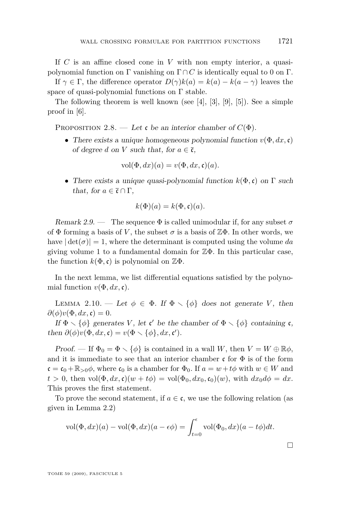<span id="page-7-0"></span>If *C* is an affine closed cone in *V* with non empty interior, a quasipolynomial function on Γ vanishing on  $\Gamma \cap C$  is identically equal to 0 on Γ.

If  $\gamma \in \Gamma$ , the difference operator  $D(\gamma)k(a) = k(a) - k(a - \gamma)$  leaves the space of quasi-polynomial functions on  $\Gamma$  stable.

The following theorem is well known (see [\[4\]](#page-38-0), [\[3\]](#page-38-0), [\[9\]](#page-38-0), [\[5\]](#page-38-0)). See a simple proof in [\[6\]](#page-38-0).

PROPOSITION 2.8. — Let c be an interior chamber of  $C(\Phi)$ .

*•* There exists a unique homogeneous polynomial function *v*(Φ*, dx,*c) of degree *d* on *V* such that, for  $a \in \overline{\mathfrak{c}}$ ,

$$
vol(\Phi, dx)(a) = v(\Phi, dx, \mathfrak{c})(a).
$$

*•* There exists a unique quasi-polynomial function *k*(Φ*,*c) on Γ such that, for  $a \in \overline{\mathfrak{c}} \cap \Gamma$ ,

$$
k(\Phi)(a) = k(\Phi, \mathfrak{c})(a).
$$

Remark 2.9. — The sequence  $\Phi$  is called unimodular if, for any subset  $\sigma$ of  $\Phi$  forming a basis of V, the subset  $\sigma$  is a basis of  $\mathbb{Z}\Phi$ . In other words, we have  $|\det(\sigma)| = 1$ , where the determinant is computed using the volume *da* giving volume 1 to a fundamental domain for  $\mathbb{Z}\Phi$ . In this particular case, the function  $k(\Phi, \mathfrak{c})$  is polynomial on  $\mathbb{Z}\Phi$ .

In the next lemma, we list differential equations satisfied by the polynomial function  $v(\Phi, dx, \mathfrak{c})$ .

LEMMA 2.10. — Let  $\phi \in \Phi$ . If  $\Phi \setminus {\phi}$  does not generate *V*, then  $\partial(\phi)v(\Phi, dx, \mathfrak{c}) = 0.$ 

If  $\Phi \setminus {\phi}$  generates *V*, let **c'** be the chamber of  $\Phi \setminus {\phi}$  containing **c**, then  $\partial(\phi)v(\Phi, dx, \mathfrak{c}) = v(\Phi \setminus {\phi}, dx, \mathfrak{c}).$ 

Proof. — If  $\Phi_0 = \Phi \setminus {\phi}$  is contained in a wall *W*, then  $V = W \oplus \mathbb{R}\phi$ , and it is immediate to see that an interior chamber c for  $\Phi$  is of the form  $c = c_0 + \mathbb{R}_{>0}\phi$ , where  $c_0$  is a chamber for  $\Phi_0$ . If  $a = w + t\phi$  with  $w \in W$  and  $t > 0$ , then vol $(\Phi, dx, \mathfrak{c})(w + t\phi) = \text{vol}(\Phi_0, dx_0, \mathfrak{c}_0)(w)$ , with  $dx_0 d\phi = dx$ . This proves the first statement.

To prove the second statement, if  $a \in \mathfrak{c}$ , we use the following relation (as given in Lemma [2.2\)](#page-4-0)

$$
\text{vol}(\Phi, dx)(a) - \text{vol}(\Phi, dx)(a - \epsilon \phi) = \int_{t=0}^{\epsilon} \text{vol}(\Phi_0, dx)(a - t\phi)dt.
$$

 $\Box$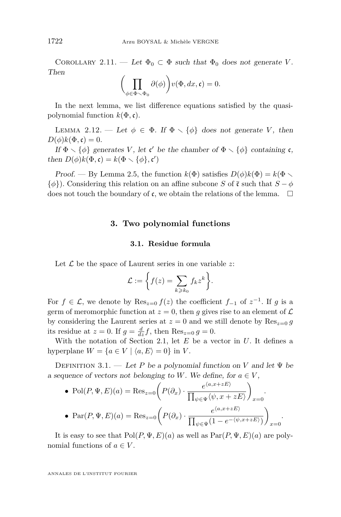<span id="page-8-0"></span>COROLLARY 2.11. — Let  $\Phi_0 \subset \Phi$  such that  $\Phi_0$  does not generate *V*. Then

$$
\bigg(\prod_{\phi \in \Phi \smallsetminus \Phi_0} \partial(\phi)\bigg) v(\Phi, dx, \mathfrak{c}) = 0.
$$

In the next lemma, we list difference equations satisfied by the quasipolynomial function  $k(\Phi, \mathfrak{c})$ .

LEMMA 2.12. — Let  $\phi \in \Phi$ . If  $\Phi \setminus {\phi}$  does not generate *V*, then  $D(\phi)k(\Phi,\mathfrak{c})=0.$ 

If  $\Phi \setminus {\phi}$  generates *V*, let **c'** be the chamber of  $\Phi \setminus {\phi}$  containing **c**, then  $D(\phi)k(\Phi, \mathfrak{c}) = k(\Phi \setminus {\phi}, {\mathfrak{c}}')$ 

Proof. — By Lemma [2.5,](#page-5-0) the function  $k(\Phi)$  satisfies  $D(\phi)k(\Phi) = k(\Phi)$ .  $\{\phi\}$ ). Considering this relation on an affine subcone *S* of  $\bar{c}$  such that  $S - \phi$ does not touch the boundary of  $\mathfrak c$ , we obtain the relations of the lemma.  $\Box$ 

#### **3. Two polynomial functions**

#### **3.1. Residue formula**

Let *L* be the space of Laurent series in one variable *z*:

$$
\mathcal{L} := \bigg\{ f(z) = \sum_{k \geq k_0} f_k z^k \bigg\}.
$$

For  $f \in \mathcal{L}$ , we denote by  $\text{Res}_{z=0} f(z)$  the coefficient  $f_{-1}$  of  $z^{-1}$ . If  $g$  is a germ of meromorphic function at  $z = 0$ , then q gives rise to an element of  $\mathcal L$ by considering the Laurent series at  $z = 0$  and we still denote by  $\text{Res}_{z=0} g$ its residue at  $z = 0$ . If  $g = \frac{d}{dz}f$ , then  $\text{Res}_{z=0} g = 0$ .

With the notation of Section [2.1,](#page-3-0) let *E* be a vector in *U*. It defines a hyperplane  $W = \{a \in V \mid \langle a, E \rangle = 0\}$  in *V*.

DEFINITION 3.1. — Let *P* be a polynomial function on *V* and let  $\Psi$  be a sequence of vectors not belonging to *W*. We define, for  $a \in V$ ,

• Pol
$$
(P, \Psi, E)(a)
$$
 = Res <sub>$z=0$</sub>   $\left(P(\partial_x) \cdot \frac{e^{\langle a, x+zE \rangle}}{\prod_{\psi \in \Psi} \langle \psi, x+zE \rangle} \right)_{x=0}$ .  
\n• Par $(P, \Psi, E)(a)$  = Res <sub>$z=0$</sub>   $\left(P(\partial_x) \cdot \frac{e^{\langle a, x+zE \rangle}}{\prod_{\psi \in \Psi} (1 - e^{-\langle \psi, x+zE \rangle})} \right)_{x=0}$ .

It is easy to see that  $Pol(P, \Psi, E)(a)$  as well as  $Par(P, \Psi, E)(a)$  are polynomial functions of  $a \in V$ .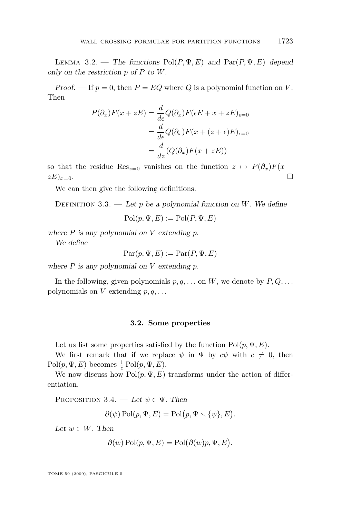<span id="page-9-0"></span>LEMMA 3.2. — The functions  $Pol(P, \Psi, E)$  and  $Par(P, \Psi, E)$  depend only on the restriction *p* of *P* to *W*.

Proof. — If  $p = 0$ , then  $P = EQ$  where Q is a polynomial function on V. Then

$$
P(\partial_x)F(x + zE) = \frac{d}{d\epsilon}Q(\partial_x)F(\epsilon E + x + zE)_{\epsilon=0}
$$

$$
= \frac{d}{d\epsilon}Q(\partial_x)F(x + (z + \epsilon)E)_{\epsilon=0}
$$

$$
= \frac{d}{dz}(Q(\partial_x)F(x + zE))
$$

so that the residue Res<sub> $z=0$ </sub> vanishes on the function  $z \mapsto P(\partial_x)F(x +$  $(zE)_{x=0}$ .

We can then give the following definitions.

DEFINITION 3.3. — Let  $p$  be a polynomial function on  $W$ . We define

 $Pol(p, \Psi, E) := Pol(P, \Psi, E)$ 

where *P* is any polynomial on *V* extending *p*.

We define

 $Par(p, \Psi, E) := Par(P, \Psi, E)$ 

where *P* is any polynomial on *V* extending *p*.

In the following, given polynomials  $p, q, \ldots$  on  $W$ , we denote by  $P, Q, \ldots$ polynomials on  $V$  extending  $p, q, \ldots$ 

#### **3.2. Some properties**

Let us list some properties satisfied by the function  $Pol(p, \Psi, E)$ .

We first remark that if we replace  $\psi$  in  $\Psi$  by  $c\psi$  with  $c \neq 0$ , then  $Pol(p, \Psi, E)$  becomes  $\frac{1}{c} Pol(p, \Psi, E)$ .

We now discuss how  $Pol(p, \Psi, E)$  transforms under the action of differentiation.

PROPOSITION 3.4. — Let  $\psi \in \Psi$ . Then

$$
\partial(\psi) \operatorname{Pol}(p, \Psi, E) = \operatorname{Pol}(p, \Psi \setminus {\psi}, E).
$$

Let  $w \in W$ . Then

$$
\partial(w) \operatorname{Pol}(p, \Psi, E) = \operatorname{Pol}(\partial(w)p, \Psi, E).
$$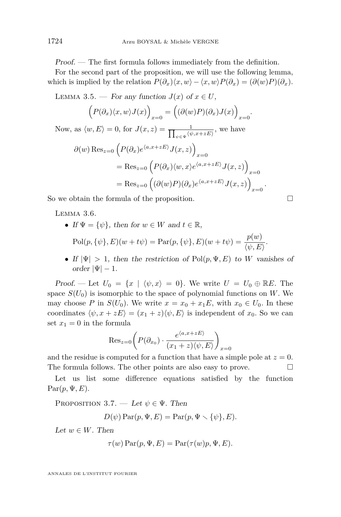<span id="page-10-0"></span>Proof. — The first formula follows immediately from the definition.

For the second part of the proposition, we will use the following lemma, which is implied by the relation  $P(\partial_x)(x, w) - \langle x, w \rangle P(\partial_x) = (\partial(w)P)(\partial_x)$ .

LEMMA 3.5. — For any function  $J(x)$  of  $x \in U$ ,

$$
(P(\partial_x)\langle x,w\rangle J(x))_{x=0} = ((\partial(w)P)(\partial_x)J(x))_{x=0}.
$$

Now, as  $\langle w, E \rangle = 0$ , for  $J(x, z) = \frac{1}{\prod_{w \in \Psi} \langle w \rangle}$  $\frac{1}{\psi \in \Psi} \langle \psi, x+zE \rangle$ , we have

$$
\partial(w) \operatorname{Res}_{z=0} \left( P(\partial_x) e^{\langle a, x+zE \rangle} J(x, z) \right)_{x=0}
$$
  
= Res\_{z=0} \left( P(\partial\_x) \langle w, x \rangle e^{\langle a, x+zE \rangle} J(x, z) \right)\_{x=0}  
= Res\_{z=0} \left( (\partial(w) P)(\partial\_x) e^{\langle a, x+zE \rangle} J(x, z) \right)\_{x=0}.

So we obtain the formula of the proposition.

LEMMA 3.6.

- If  $\Psi = {\psi}$ , then for  $w \in W$  and  $t \in \mathbb{R}$ ,  $Pol(p, \{\psi\}, E)(w + t\psi) = \text{Par}(p, \{\psi\}, E)(w + t\psi) = \frac{p(w)}{\langle \psi, E \rangle}.$
- If  $|\Psi| > 1$ , then the restriction of Pol $(p, \Psi, E)$  to *W* vanishes of order  $|\Psi| = 1$ .

Proof. — Let  $U_0 = \{x \mid \langle \psi, x \rangle = 0\}$ . We write  $U = U_0 \oplus \mathbb{R}E$ . The space  $S(U_0)$  is isomorphic to the space of polynomial functions on *W*. We may choose *P* in  $S(U_0)$ . We write  $x = x_0 + x_1E$ , with  $x_0 \in U_0$ . In these coordinates  $\langle \psi, x + zE \rangle = (x_1 + z)\langle \psi, E \rangle$  is independent of  $x_0$ . So we can set  $x_1 = 0$  in the formula

$$
\text{Res}_{z=0} \bigg( P(\partial_{x_0}) \cdot \frac{e^{\langle a, x+zE \rangle}}{(x_1+z) \langle \psi, E \rangle} \bigg)_{x=0}
$$

and the residue is computed for a function that have a simple pole at  $z = 0$ . The formula follows. The other points are also easy to prove.

Let us list some difference equations satisfied by the function  $Par(p, \Psi, E)$ .

PROPOSITION 3.7. — Let  $\psi \in \Psi$ . Then

$$
D(\psi) \operatorname{Par}(p, \Psi, E) = \operatorname{Par}(p, \Psi \setminus {\psi}, E).
$$

Let  $w \in W$ . Then

$$
\tau(w) \operatorname{Par}(p, \Psi, E) = \operatorname{Par}(\tau(w)p, \Psi, E).
$$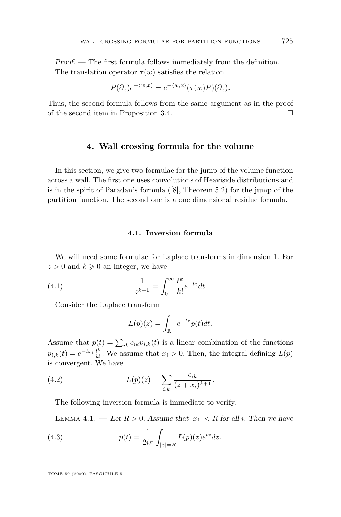<span id="page-11-0"></span>Proof. — The first formula follows immediately from the definition. The translation operator  $\tau(w)$  satisfies the relation

$$
P(\partial_x)e^{-\langle w,x\rangle}=e^{-\langle w,x\rangle}(\tau(w)P)(\partial_x).
$$

Thus, the second formula follows from the same argument as in the proof of the second item in Proposition [3.4.](#page-9-0)

#### **4. Wall crossing formula for the volume**

In this section, we give two formulae for the jump of the volume function across a wall. The first one uses convolutions of Heaviside distributions and is in the spirit of Paradan's formula ([\[8\]](#page-38-0), Theorem 5.2) for the jump of the partition function. The second one is a one dimensional residue formula.

#### **4.1. Inversion formula**

We will need some formulae for Laplace transforms in dimension 1. For  $z > 0$  and  $k \geq 0$  an integer, we have

(4.1) 
$$
\frac{1}{z^{k+1}} = \int_0^\infty \frac{t^k}{k!} e^{-tz} dt.
$$

Consider the Laplace transform

$$
L(p)(z) = \int_{\mathbb{R}^+} e^{-tz} p(t) dt.
$$

Assume that  $p(t) = \sum_{ik} c_{ik} p_{i,k}(t)$  is a linear combination of the functions  $p_{i,k}(t) = e^{-tx_i} \frac{t^k}{k!}$  $\frac{t^{n}}{k!}$ . We assume that  $x_i > 0$ . Then, the integral defining  $L(p)$ is convergent. We have

(4.2) 
$$
L(p)(z) = \sum_{i,k} \frac{c_{ik}}{(z+x_i)^{k+1}}.
$$

The following inversion formula is immediate to verify.

LEMMA 4.1. — Let  $R > 0$ . Assume that  $|x_i| < R$  for all *i*. Then we have

(4.3) 
$$
p(t) = \frac{1}{2i\pi} \int_{|z|=R} L(p)(z)e^{iz} dz.
$$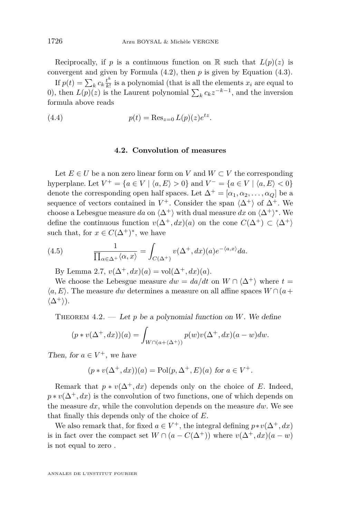<span id="page-12-0"></span>Reciprocally, if *p* is a continuous function on R such that  $L(p)(z)$  is convergent and given by Formula [\(4.2\)](#page-11-0), then *p* is given by Equation [\(4.3\)](#page-11-0).

If  $p(t) = \sum_{k} c_k \frac{t^k}{k!}$  $\frac{t^2}{k!}$  is a polynomial (that is all the elements  $x_i$  are equal to 0), then  $L(p)(z)$  is the Laurent polynomial  $\sum_{k} c_k z^{-k-1}$ , and the inversion formula above reads

(4.4) 
$$
p(t) = \text{Res}_{z=0} L(p)(z)e^{tz}.
$$

#### **4.2. Convolution of measures**

Let  $E \in U$  be a non zero linear form on *V* and  $W \subset V$  the corresponding hyperplane. Let  $V^+ = \{a \in V \mid \langle a, E \rangle > 0\}$  and  $V^- = \{a \in V \mid \langle a, E \rangle < 0\}$ denote the corresponding open half spaces. Let  $\Delta^+ = [\alpha_1, \alpha_2, \dots, \alpha_Q]$  be a sequence of vectors contained in  $V^+$ . Consider the span  $\langle \Delta^+ \rangle$  of  $\Delta^+$ . We choose a Lebesgue measure  $da$  on  $\langle \Delta^+ \rangle$  with dual measure  $dx$  on  $\langle \Delta^+ \rangle^*$ . We define the continuous function  $v(\Delta^+, dx)(a)$  on the cone  $C(\Delta^+) \subset \langle \Delta^+ \rangle$ such that, for  $x \in C(\Delta^+)^*$ , we have

(4.5) 
$$
\frac{1}{\prod_{\alpha \in \Delta^+} \langle \alpha, x \rangle} = \int_{C(\Delta^+)} v(\Delta^+, dx)(a) e^{-\langle a, x \rangle} da.
$$

By Lemma [2.7,](#page-5-0)  $v(\Delta^+, dx)(a) = vol(\Delta^+, dx)(a)$ .

We choose the Lebesgue measure  $dw = da/dt$  on  $W \cap \langle \Delta^+ \rangle$  where  $t =$  $\langle a, E \rangle$ . The measure *dw* determines a measure on all affine spaces  $W \cap (a +$  $\langle \Delta^+ \rangle$ .

THEOREM  $4.2.$  — Let p be a polynomial function on *W*. We define

$$
(p * v(\Delta^+, dx))(a) = \int_{W \cap (a + \langle \Delta^+ \rangle)} p(w)v(\Delta^+, dx)(a - w)dw.
$$

Then, for  $a \in V^+$ , we have

$$
(p * v(\Delta^+, dx))(a) = \text{Pol}(p, \Delta^+, E)(a)
$$
 for  $a \in V^+$ .

Remark that  $p * v(\Delta^+, dx)$  depends only on the choice of *E*. Indeed,  $p * v(\Delta^+, dx)$  is the convolution of two functions, one of which depends on the measure *dx*, while the convolution depends on the measure *dw*. We see that finally this depends only of the choice of *E*.

We also remark that, for fixed  $a \in V^+$ , the integral defining  $p * v(\Delta^+, dx)$ is in fact over the compact set  $W \cap (a - C(\Delta^+))$  where  $v(\Delta^+, dx)(a - w)$ is not equal to zero .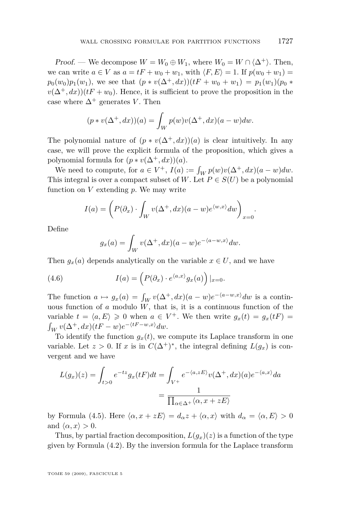<span id="page-13-0"></span>Proof. — We decompose  $W = W_0 \oplus W_1$ , where  $W_0 = W \cap \langle \Delta^+ \rangle$ . Then, we can write  $a \in V$  as  $a = tF + w_0 + w_1$ , with  $\langle F, E \rangle = 1$ . If  $p(w_0 + w_1) =$  $p_0(w_0)p_1(w_1)$ , we see that  $(p * v(\Delta^+, dx))(tF + w_0 + w_1) = p_1(w_1)(p_0 *$  $v(\Delta^+, dx)$ )(*tF* + *w*<sub>0</sub>). Hence, it is sufficient to prove the proposition in the case where  $\Delta^+$  generates *V*. Then

$$
(p * v(\Delta^+, dx))(a) = \int_W p(w)v(\Delta^+, dx)(a - w)dw.
$$

The polynomial nature of  $(p * v(\Delta^+, dx))(a)$  is clear intuitively. In any case, we will prove the explicit formula of the proposition, which gives a polynomial formula for  $(p * v(\Delta^+, dx))(a)$ .

We need to compute, for  $a \in V^+$ ,  $I(a) := \int_W p(w)v(\Delta^+, dx)(a - w)dw$ . This integral is over a compact subset of *W*. Let  $P \in S(U)$  be a polynomial function on *V* extending *p*. We may write

$$
I(a) = \left(P(\partial_x) \cdot \int_W v(\Delta^+, dx)(a - w)e^{\langle w, x \rangle} dw\right)_{x = 0}.
$$

Define

$$
g_x(a) = \int_W v(\Delta^+, dx)(a - w)e^{-\langle a - w, x \rangle} dw.
$$

Then  $g_x(a)$  depends analytically on the variable  $x \in U$ , and we have

(4.6) 
$$
I(a) = \left( P(\partial_x) \cdot e^{\langle a,x \rangle} g_x(a) \right) |_{x=0}.
$$

The function  $a \mapsto g_x(a) = \int_W v(\Delta^+, dx)(a - w)e^{-\langle a - w, x \rangle} dw$  is a continuous function of  $a$  modulo  $\tilde{W}$ , that is, it is a continuous function of the variable  $t = \langle a, E \rangle \geq 0$  when  $a \in V^+$ . We then write  $g_x(t) = g_x(t)$  $\int_W v(\Delta^+, dx)(tF - w)e^{-\langle tF - w, x \rangle} dw.$ 

To identify the function  $g_x(t)$ , we compute its Laplace transform in one variable. Let  $z > 0$ . If  $x$  is in  $C(\Delta^+)^*$ , the integral defining  $L(g_x)$  is convergent and we have

$$
L(g_x)(z) = \int_{t>0} e^{-tz} g_x(tF) dt = \int_{V^+} e^{-\langle a, zE \rangle} v(\Delta^+, dx)(a) e^{-\langle a, x \rangle} da
$$

$$
= \frac{1}{\prod_{\alpha \in \Delta^+} \langle \alpha, x + zE \rangle}
$$

by Formula [\(4.5\)](#page-12-0). Here  $\langle \alpha, x + zE \rangle = d_{\alpha}z + \langle \alpha, x \rangle$  with  $d_{\alpha} = \langle \alpha, E \rangle > 0$ and  $\langle \alpha, x \rangle > 0$ .

Thus, by partial fraction decomposition,  $L(q_x)(z)$  is a function of the type given by Formula [\(4.2\)](#page-11-0). By the inversion formula for the Laplace transform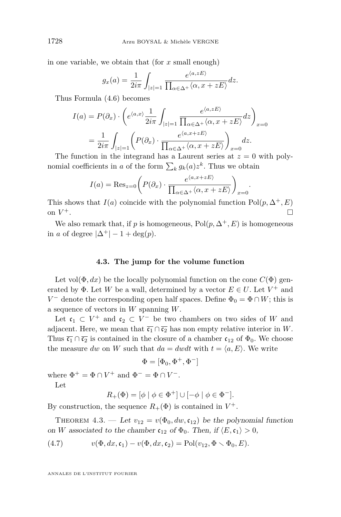<span id="page-14-0"></span>in one variable, we obtain that (for *x* small enough)

$$
g_x(a) = \frac{1}{2i\pi} \int_{|z|=1} \frac{e^{\langle a,zE\rangle}}{\prod_{\alpha\in\Delta^+} \langle \alpha, x + zE\rangle} dz.
$$

Thus Formula [\(4.6\)](#page-13-0) becomes

$$
I(a) = P(\partial_x) \cdot \left( e^{\langle a, x \rangle} \frac{1}{2i\pi} \int_{|z|=1} \frac{e^{\langle a, zE \rangle}}{\prod_{\alpha \in \Delta^+} \langle \alpha, x + zE \rangle} dz \right)_{x=0}
$$
  
= 
$$
\frac{1}{2i\pi} \int_{|z|=1} \left( P(\partial_x) \cdot \frac{e^{\langle a, x+zE \rangle}}{\prod_{\alpha \in \Delta^+} \langle \alpha, x + zE \rangle} \right)_{x=0} dz.
$$

The function in the integrand has a Laurent series at  $z = 0$  with polynomial coefficients in *a* of the form  $\sum_{k} g_k(a) z^k$ . Thus we obtain

$$
I(a) = \text{Res}_{z=0} \left( P(\partial_x) \cdot \frac{e^{\langle a, x+zE \rangle}}{\prod_{\alpha \in \Delta^+} \langle \alpha, x+zE \rangle} \right)_{x=0}
$$

*.*

This shows that *I*(*a*) coincide with the polynomial function  $Pol(p, \Delta^+, E)$ on  $V^+$ . **+.** □ □

We also remark that, if *p* is homogeneous,  $Pol(p, \Delta^+, E)$  is homogeneous in *a* of degree  $|\Delta^+| - 1 + \deg(p)$ .

#### **4.3. The jump for the volume function**

Let vol $(\Phi, dx)$  be the locally polynomial function on the cone  $C(\Phi)$  generated by  $\Phi$ . Let *W* be a wall, determined by a vector  $E \in U$ . Let  $V^+$  and *V*<sup> $-$ </sup> denote the corresponding open half spaces. Define  $\Phi_0 = \Phi \cap W$ ; this is a sequence of vectors in *W* spanning *W*.

Let  $c_1 \subset V^+$  and  $c_2 \subset V^-$  be two chambers on two sides of *W* and adjacent. Here, we mean that  $\overline{c_1} \cap \overline{c_2}$  has non empty relative interior in *W*. Thus  $\overline{c_1} \cap \overline{c_2}$  is contained in the closure of a chamber  $c_{12}$  of  $\Phi_0$ . We choose the measure *dw* on *W* such that  $da = dwdt$  with  $t = \langle a, E \rangle$ . We write

$$
\Phi=[\Phi_0,\Phi^+,\Phi^-]
$$

where  $\Phi^+ = \Phi \cap V^+$  and  $\Phi^- = \Phi \cap V^-$ .

Let

*R*<sub>+</sub>( $\Phi$ ) = [ $\phi$  |  $\phi \in \Phi^+$ ]  $\cup$  [ $-\phi$  |  $\phi \in \Phi^-$ ].

By construction, the sequence  $R_+(\Phi)$  is contained in  $V^+$ .

THEOREM 4.3. — Let  $v_{12} = v(\Phi_0, dw, \mathfrak{c}_{12})$  be the polynomial function on *W* associated to the chamber  $c_{12}$  of  $\Phi_0$ . Then, if  $\langle E, c_1 \rangle > 0$ ,

(4.7) 
$$
v(\Phi, dx, \mathfrak{c}_1) - v(\Phi, dx, \mathfrak{c}_2) = \text{Pol}(v_{12}, \Phi \setminus \Phi_0, E).
$$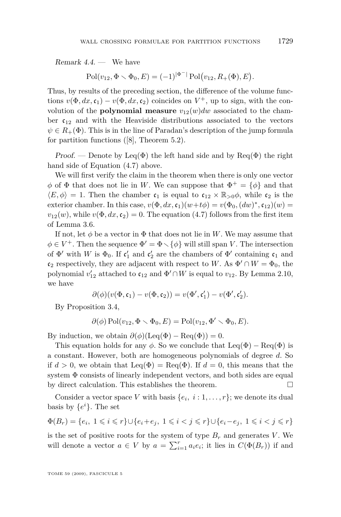Remark 4.4. — We have

$$
\mathrm{Pol}(v_{12}, \Phi \setminus \Phi_0, E) = (-1)^{|\Phi^-|} \mathrm{Pol}(v_{12}, R_+(\Phi), E).
$$

Thus, by results of the preceding section, the difference of the volume functions  $v(\Phi, dx, \mathfrak{c}_1) - v(\Phi, dx, \mathfrak{c}_2)$  coincides on  $V^+$ , up to sign, with the convolution of the **polynomial measure**  $v_{12}(w)dw$  associated to the chamber  $c_{12}$  and with the Heaviside distributions associated to the vectors  $\psi \in R_+(\Phi)$ . This is in the line of Paradan's description of the jump formula for partition functions ([\[8\]](#page-38-0), Theorem 5.2).

Proof. — Denote by Leq( $\Phi$ ) the left hand side and by Req( $\Phi$ ) the right hand side of Equation [\(4.7\)](#page-14-0) above.

We will first verify the claim in the theorem when there is only one vector  $\phi$  of  $\Phi$  that does not lie in *W*. We can suppose that  $\Phi^+ = {\phi}$  and that  $\langle E, \phi \rangle = 1$ . Then the chamber  $c_1$  is equal to  $c_{12} \times \mathbb{R}_{>0} \phi$ , while  $c_2$  is the exterior chamber. In this case,  $v(\Phi, dx, \mathfrak{c}_1)(w+t\phi) = v(\Phi_0, (dw)^*, \mathfrak{c}_{12})(w) =$  $v_{12}(w)$ , while  $v(\Phi, dx, \mathfrak{c}_2) = 0$ . The equation [\(4.7\)](#page-14-0) follows from the first item of Lemma [3.6.](#page-10-0)

If not, let  $\phi$  be a vector in  $\Phi$  that does not lie in W. We may assume that  $\phi \in V^+$ . Then the sequence  $\Phi' = \Phi \setminus {\phi}$  will still span *V*. The intersection of  $\Phi'$  with *W* is  $\Phi_0$ . If  $\mathfrak{c}'_1$  and  $\mathfrak{c}'_2$  are the chambers of  $\Phi'$  containing  $\mathfrak{c}_1$  and  $\mathfrak{c}_2$  respectively, they are adjacent with respect to *W*. As  $\Phi' \cap W = \Phi_0$ , the polynomial  $v'_{12}$  attached to  $c_{12}$  and  $\Phi' \cap W$  is equal to  $v_{12}$ . By Lemma [2.10,](#page-7-0) we have

$$
\partial(\phi)(v(\Phi,\mathfrak{c}_1)-v(\Phi,\mathfrak{c}_2))=v(\Phi',\mathfrak{c}'_1)-v(\Phi',\mathfrak{c}'_2).
$$

By Proposition [3.4,](#page-9-0)

$$
\partial(\phi) \operatorname{Pol}(v_{12}, \Phi \setminus \Phi_0, E) = \operatorname{Pol}(v_{12}, \Phi' \setminus \Phi_0, E).
$$

By induction, we obtain  $\partial(\phi)(\text{Leq}(\Phi) - \text{Req}(\Phi)) = 0.$ 

This equation holds for any  $\phi$ . So we conclude that  $\text{Leq}(\Phi) - \text{Req}(\Phi)$  is a constant. However, both are homogeneous polynomials of degree *d*. So if  $d > 0$ , we obtain that Leq( $\Phi$ ) = Req( $\Phi$ ). If  $d = 0$ , this means that the system Φ consists of linearly independent vectors, and both sides are equal by direct calculation. This establishes the theorem.

Consider a vector space *V* with basis  $\{e_i, i : 1, \ldots, r\}$ ; we denote its dual basis by  $\{e^i\}$ . The set

$$
\Phi(B_r)=\{e_i,\ 1\leqslant i\leqslant r\}\cup\{e_i+e_j,\ 1\leqslant i
$$

is the set of positive roots for the system of type  $B_r$  and generates *V*. We will denote a vector  $a \in V$  by  $a = \sum_{i=1}^{r} a_i e_i$ ; it lies in  $C(\Phi(B_r))$  if and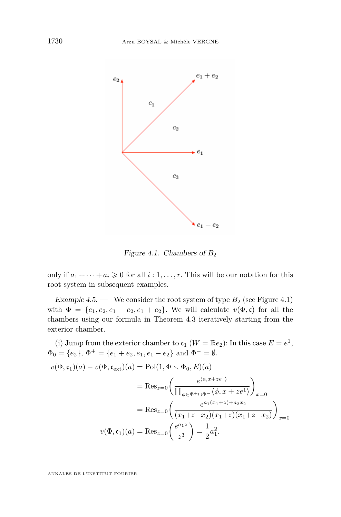<span id="page-16-0"></span>

Figure 4.1. Chambers of  $B_2$ 

only if  $a_1 + \cdots + a_i \geq 0$  for all  $i: 1, \ldots, r$ . This will be our notation for this root system in subsequent examples.

Example  $4.5.$  — We consider the root system of type  $B_2$  (see Figure 4.1) with  $\Phi = \{e_1, e_2, e_1 - e_2, e_1 + e_2\}$ . We will calculate  $v(\Phi, \mathfrak{c})$  for all the chambers using our formula in Theorem [4.3](#page-14-0) iteratively starting from the exterior chamber.

(i) Jump from the exterior chamber to  $\mathfrak{c}_1$  ( $W = \mathbb{R}e_2$ ): In this case  $E = e^1$ ,  $\Phi_0 = \{e_2\}, \Phi^+ = \{e_1 + e_2, e_1, e_1 - e_2\}$  and  $\Phi^- = \emptyset$ .  $v(\Phi, \mathfrak{c}_1)(a) - v(\Phi, \mathfrak{c}_{ext})(a) = \text{Pol}(1, \Phi \setminus \Phi_0, E)(a)$  $=$ Bes<sub>z=0</sub> $\left( \frac{e^{\langle a,x+ze^1 \rangle}}{\prod_{\substack{a \neq a}}$  $\prod_{\phi \in \Phi^+ \cup \Phi^-} \langle \phi, x + ze^1 \rangle$  $\setminus$ *x*=0  $=$ Res<sub>z=0</sub> $\left( \frac{e^{a_1(x_1+z)+a_2x_2}}{\sqrt{a_1(x_1+x)+a_2(x_2+x_1+x_2+x_2}} \right)$  $(x_1+z+x_2)(x_1+z)(x_1+z-x_2)$  $\setminus$ *x*=0  $v(\Phi, \mathfrak{c}_1)(a) = \text{Res}_{z=0} \left( \frac{e^{a_1 z}}{a^3} \right)$ *z* 3  $= \frac{1}{2}$  $rac{1}{2}a_1^2$ .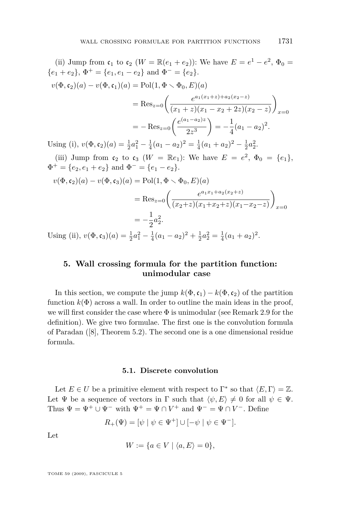<span id="page-17-0"></span>(ii) Jump from  $\mathfrak{c}_1$  to  $\mathfrak{c}_2$  ( $W = \mathbb{R}(e_1 + e_2)$ ): We have  $E = e^1 - e^2$ ,  $\Phi_0 =$  ${e_1 + e_2}$ ,  $\Phi^+ = {e_1, e_1 - e_2}$  and  $\Phi^- = {e_2}$ .  $v(\Phi, \mathfrak{c}_2)(a) - v(\Phi, \mathfrak{c}_1)(a) = \text{Pol}(1, \Phi \setminus \Phi_0, E)(a)$  $=$ **Res**<sub>z=0</sub> $\left( \frac{e^{a_1(x_1+z)+a_2(x_2-z)}}{(a_1+z)(a_2-x+2z)(a_2-z)} \right)$  $(x_1 + z)(x_1 - x_2 + 2z)(x_2 - z)$  $\setminus$ *x*=0  $=-$  Res<sub>z=0</sub> $\left(\frac{e^{(a_1-a_2)z}}{2z^3}\right)$ 2*z* 3  $= -\frac{1}{4}$  $\frac{1}{4}(a_1-a_2)^2$ . Using (i),  $v(\Phi, \mathfrak{c}_2)(a) = \frac{1}{2}a_1^2 - \frac{1}{4}(a_1 - a_2)^2 = \frac{1}{4}(a_1 + a_2)^2 - \frac{1}{2}a_2^2$ . (iii) Jump from  $c_2$  to  $c_3$  ( $W = \mathbb{R}e_1$ ): We have  $E = e^2$ ,  $\Phi_0 = \{e_1\}$ ,  $\Phi^+ = \{e_2, e_1 + e_2\}$  and  $\Phi^- = \{e_1 - e_2\}.$ 

$$
v(\Phi, \mathfrak{c}_2)(a) - v(\Phi, \mathfrak{c}_3)(a) = \text{Pol}(1, \Phi \setminus \Phi_0, E)(a)
$$
  
= Res<sub>z=0</sub>  $\left( \frac{e^{a_1 x_1 + a_2 (x_2 + z)}}{(x_2 + z)(x_1 + x_2 + z)(x_1 - x_2 - z)} \right)_{x=0}$   
=  $-\frac{1}{2}a_2^2$ .  
Ising (ii)  $v(\Phi, \mathfrak{c}_2)(a) = \frac{1}{2}a_2^2 - \frac{1}{2}(a_2 - a_2)^2 + \frac{1}{2}a_2^2 - \frac{1}{2}(a_2 + a_2)^2$ 

Using (ii),  $v(\Phi, \mathfrak{c}_3)(a) = \frac{1}{2}a_1^2 - \frac{1}{4}(a_1 - a_2)^2 + \frac{1}{2}a_2^2 = \frac{1}{4}(a_1 + a_2)^2$ .

#### **5. Wall crossing formula for the partition function: unimodular case**

In this section, we compute the jump  $k(\Phi, \mathfrak{c}_1) - k(\Phi, \mathfrak{c}_2)$  of the partition function  $k(\Phi)$  across a wall. In order to outline the main ideas in the proof, we will first consider the case where  $\Phi$  is unimodular (see Remark [2.9](#page-7-0) for the definition). We give two formulae. The first one is the convolution formula of Paradan ([\[8\]](#page-38-0), Theorem 5.2). The second one is a one dimensional residue formula.

#### **5.1. Discrete convolution**

Let  $E \in U$  be a primitive element with respect to  $\Gamma^*$  so that  $\langle E, \Gamma \rangle = \mathbb{Z}$ . Let  $\Psi$  be a sequence of vectors in  $\Gamma$  such that  $\langle \psi, E \rangle \neq 0$  for all  $\psi \in \Psi$ . Thus  $\Psi = \Psi^+ \cup \Psi^-$  with  $\Psi^+ = \Psi \cap V^+$  and  $\Psi^- = \Psi \cap V^-$ . Define

$$
R_+(\Psi) = [\psi \mid \psi \in \Psi^+] \cup [-\psi \mid \psi \in \Psi^-].
$$

Let

$$
W := \{ a \in V \mid \langle a, E \rangle = 0 \},
$$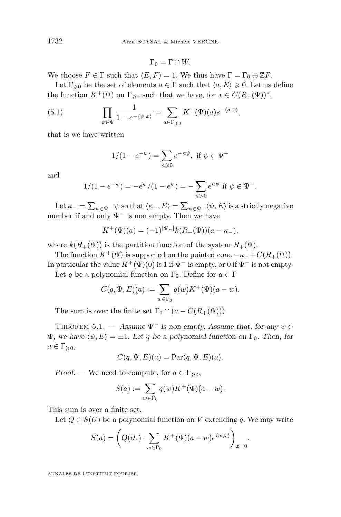$$
\Gamma_0 = \Gamma \cap W.
$$

We choose  $F \in \Gamma$  such that  $\langle E, F \rangle = 1$ . We thus have  $\Gamma = \Gamma_0 \oplus \mathbb{Z}F$ .

Let  $\Gamma_{\geq 0}$  be the set of elements  $a \in \Gamma$  such that  $\langle a, E \rangle \geq 0$ . Let us define the function  $K^+(\Psi)$  on  $\Gamma_{\geqslant 0}$  such that we have, for  $x \in C(R_+(\Psi))^*$ ,

(5.1) 
$$
\prod_{\psi \in \Psi} \frac{1}{1 - e^{-\langle \psi, x \rangle}} = \sum_{a \in \Gamma_{\geq 0}} K^+(\Psi)(a) e^{-\langle a, x \rangle},
$$

that is we have written

$$
1/(1 - e^{-\psi}) = \sum_{n \ge 0} e^{-n\psi}, \text{ if } \psi \in \Psi^+
$$

and

$$
1/(1 - e^{-\psi}) = -e^{\psi}/(1 - e^{\psi}) = -\sum_{n>0} e^{n\psi} \text{ if } \psi \in \Psi^-.
$$

Let  $\kappa_-=\sum_{\psi\in \Psi^-}\psi$  so that  $\langle\kappa_-,E\rangle=\sum_{\psi\in \Psi^-}\langle\psi,E\rangle$  is a strictly negative number if and only  $\Psi$ <sup>−</sup> is non empty. Then we have

$$
K^{+}(\Psi)(a) = (-1)^{|\Psi_{-}|} k(R_{+}(\Psi))(a - \kappa_{-}),
$$

where  $k(R_+(\Psi))$  is the partition function of the system  $R_+(\Psi)$ .

The function  $K^+(\Psi)$  is supported on the pointed cone  $-\kappa^- + C(R_+(\Psi))$ . In particular the value  $K^+(\Psi)(0)$  is 1 if  $\Psi^-$  is empty, or 0 if  $\Psi^-$  is not empty.

Let *q* be a polynomial function on  $\Gamma_0$ . Define for  $a \in \Gamma$ 

$$
C(q, \Psi, E)(a) := \sum_{w \in \Gamma_0} q(w) K^+(\Psi)(a - w).
$$

The sum is over the finite set  $\Gamma_0 \cap (a - C(R_+(\Psi)))$ .

THEOREM 5.1. — Assume  $\Psi^+$  is non empty. Assume that, for any  $\psi \in$  $Ψ$ , we have  $\langle ψ, E \rangle = ±1$ . Let *q* be a polynomial function on Γ<sub>0</sub>. Then, for  $a \in \Gamma_{\geqslant 0},$ 

$$
C(q, \Psi, E)(a) = \text{Par}(q, \Psi, E)(a).
$$

Proof. — We need to compute, for  $a \in \Gamma_{\geq 0}$ ,

$$
S(a) := \sum_{w \in \Gamma_0} q(w) K^+(\Psi)(a - w).
$$

This sum is over a finite set.

Let  $Q \in S(U)$  be a polynomial function on V extending q. We may write

$$
S(a) = \left(Q(\partial_x) \cdot \sum_{w \in \Gamma_0} K^+(\Psi)(a - w)e^{\langle w, x \rangle} \right)_{x=0}.
$$

<span id="page-18-0"></span>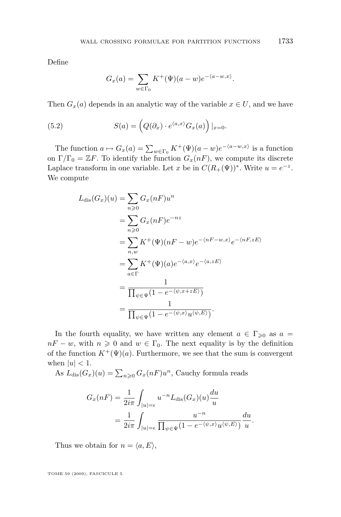Define

$$
G_x(a) = \sum_{w \in \Gamma_0} K^+(\Psi)(a - w)e^{-\langle a - w, x \rangle}.
$$

Then  $G_x(a)$  depends in an analytic way of the variable  $x \in U$ , and we have

(5.2) 
$$
S(a) = \left(Q(\partial_x) \cdot e^{\langle a,x \rangle} G_x(a)\right)|_{x=0}.
$$

The function  $a \mapsto G_x(a) = \sum_{w \in \Gamma_0} K^+(\Psi)(a - w)e^{-\langle a - w, x \rangle}$  is a function on  $\Gamma/\Gamma_0 = \mathbb{Z}F$ . To identify the function  $G_x(nF)$ , we compute its discrete Laplace transform in one variable. Let *x* be in  $C(R_+(\Psi))^*$ . Write  $u = e^{-z}$ . We compute

$$
L_{\text{dis}}(G_x)(u) = \sum_{n\geqslant 0} G_x(nF)u^n
$$
  
= 
$$
\sum_{n\geqslant 0} G_x(nF)e^{-nz}
$$
  
= 
$$
\sum_{n,w} K^+(\Psi)(nF - w)e^{-\langle nF - w,x\rangle}e^{-\langle nF,zE\rangle}
$$
  
= 
$$
\sum_{a\in\Gamma} K^+(\Psi)(a)e^{-\langle a,x\rangle}e^{-\langle a,zE\rangle}
$$
  
= 
$$
\frac{1}{\prod_{\psi\in\Psi}(1-e^{-\langle \psi,x+zE\rangle})}
$$
  
= 
$$
\frac{1}{\prod_{\psi\in\Psi}(1-e^{-\langle \psi,x\rangle}u^{\langle \psi,E\rangle})}.
$$

In the fourth equality, we have written any element  $a \in \Gamma_{\geqslant 0}$  as  $a =$  $nF - w$ , with  $n \geq 0$  and  $w \in \Gamma_0$ . The next equality is by the definition of the function  $K^+(\Psi)(a)$ . Furthermore, we see that the sum is convergent when  $|u| < 1$ .

As  $L_{\text{dis}}(G_x)(u) = \sum_{n\geqslant 0} G_x(nF)u^n$ , Cauchy formula reads

$$
G_x(nF) = \frac{1}{2i\pi} \int_{|u|=\epsilon} u^{-n} L_{\text{dis}}(G_x)(u) \frac{du}{u}
$$
  
= 
$$
\frac{1}{2i\pi} \int_{|u|=\epsilon} \frac{u^{-n}}{\prod_{\psi \in \Psi} (1 - e^{-\langle \psi, x \rangle} u^{\langle \psi, E \rangle})} \frac{du}{u}.
$$

Thus we obtain for  $n = \langle a, E \rangle$ ,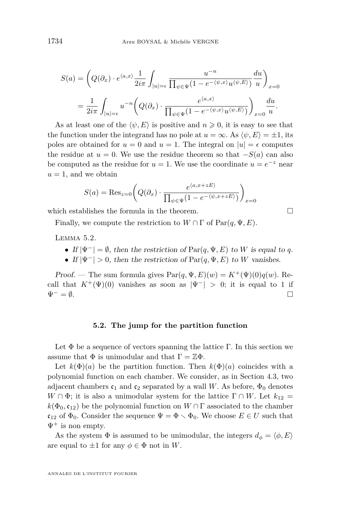<span id="page-20-0"></span>
$$
S(a) = \left(Q(\partial_x) \cdot e^{\langle a, x \rangle} \frac{1}{2i\pi} \int_{|u|=\epsilon} \frac{u^{-n}}{\prod_{\psi \in \Psi} (1 - e^{-\langle \psi, x \rangle} u^{\langle \psi, E \rangle})} \frac{du}{u} \right)_{x=0}
$$
  
= 
$$
\frac{1}{2i\pi} \int_{|u|=\epsilon} u^{-n} \left(Q(\partial_x) \cdot \frac{e^{\langle a, x \rangle}}{\prod_{\psi \in \Psi} (1 - e^{-\langle \psi, x \rangle} u^{\langle \psi, E \rangle})} \right)_{x=0} \frac{du}{u}.
$$

As at least one of the  $\langle \psi, E \rangle$  is positive and  $n \geq 0$ , it is easy to see that the function under the integrand has no pole at  $u = \infty$ . As  $\langle \psi, E \rangle = \pm 1$ , its poles are obtained for  $u = 0$  and  $u = 1$ . The integral on  $|u| = \epsilon$  computes the residue at  $u = 0$ . We use the residue theorem so that  $-S(a)$  can also be computed as the residue for  $u = 1$ . We use the coordinate  $u = e^{-z}$  near  $u = 1$ , and we obtain

$$
S(a) = \text{Res}_{z=0} \left( Q(\partial_x) \cdot \frac{e^{\langle a, x+zE \rangle}}{\prod_{\psi \in \Psi} (1 - e^{-\langle \psi, x+zE \rangle})} \right)_{x=0}
$$

which establishes the formula in the theorem.  $\Box$ 

Finally, we compute the restriction to  $W \cap \Gamma$  of  $Par(q, \Psi, E)$ .

Lemma 5.2.

- If  $|\Psi^-| = \emptyset$ , then the restriction of  $\text{Par}(q, \Psi, E)$  to *W* is equal to *q*.
- If  $|\Psi^-| > 0$ , then the restriction of  $\text{Par}(q, \Psi, E)$  to *W* vanishes.

Proof. — The sum formula gives  $\text{Par}(q, \Psi, E)(w) = K^+(\Psi)(0)q(w)$ . Recall that  $K^+(\Psi)(0)$  vanishes as soon as  $|\Psi^-| > 0$ ; it is equal to 1 if Ψ*<sup>−</sup>* = *∅*.

#### **5.2. The jump for the partition function**

Let  $\Phi$  be a sequence of vectors spanning the lattice Γ. In this section we assume that  $\Phi$  is unimodular and that  $\Gamma = \mathbb{Z}\Phi$ .

Let  $k(\Phi)(a)$  be the partition function. Then  $k(\Phi)(a)$  coincides with a polynomial function on each chamber. We consider, as in Section [4.3,](#page-14-0) two adjacent chambers  $c_1$  and  $c_2$  separated by a wall *W*. As before,  $\Phi_0$  denotes  $W \cap \Phi$ ; it is also a unimodular system for the lattice  $\Gamma \cap W$ . Let  $k_{12} =$  $k(\Phi_0, \mathfrak{c}_{12})$  be the polynomial function on  $W \cap \Gamma$  associated to the chamber  $c_{12}$  of  $\Phi_0$ . Consider the sequence  $\Psi = \Phi \setminus \Phi_0$ . We choose  $E \in U$  such that  $\Psi^+$  is non empty.

As the system  $\Phi$  is assumed to be unimodular, the integers  $d_{\phi} = \langle \phi, E \rangle$ are equal to  $\pm 1$  for any  $\phi \in \Phi$  not in W.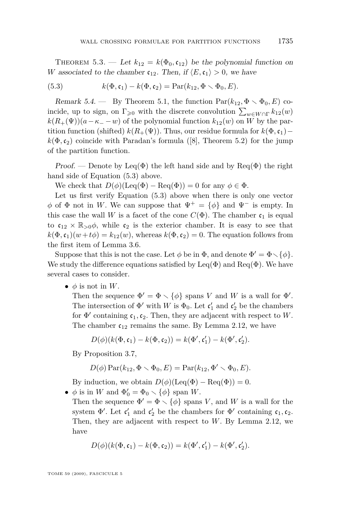THEOREM 5.3. — Let  $k_{12} = k(\Phi_0, \mathfrak{c}_{12})$  be the polynomial function on *W* associated to the chamber  $c_{12}$ . Then, if  $\langle E, c_1 \rangle > 0$ , we have

(5.3) 
$$
k(\Phi, \mathfrak{c}_1) - k(\Phi, \mathfrak{c}_2) = \mathrm{Par}(k_{12}, \Phi \setminus \Phi_0, E).
$$

Remark 5.4. — By Theorem [5.1,](#page-18-0) the function  $\text{Par}(k_{12}, \Phi \setminus \Phi_0, E)$  coincide, up to sign, on  $\Gamma_{\geq 0}$  with the discrete convolution  $\sum_{w \in W \cap \Gamma} k_{12}(w)$  $k(R_{+}(\Psi))(a - \kappa_{-} - w)$  of the polynomial function  $k_{12}(w)$  on *W* by the partition function (shifted)  $k(R_+(\Psi))$ . Thus, our residue formula for  $k(\Phi, c_1)$ *−*  $k(\Phi, c_2)$  coincide with Paradan's formula ([\[8\]](#page-38-0), Theorem 5.2) for the jump of the partition function.

Proof. — Denote by Leq( $\Phi$ ) the left hand side and by Req( $\Phi$ ) the right hand side of Equation (5.3) above.

We check that  $D(\phi)(\text{Leq}(\Phi) - \text{Req}(\Phi)) = 0$  for any  $\phi \in \Phi$ .

Let us first verify Equation (5.3) above when there is only one vector *φ* of Φ not in *W*. We can suppose that  $\Psi^+ = {\phi}$  and  $\Psi^-$  is empty. In this case the wall *W* is a facet of the cone  $C(\Phi)$ . The chamber  $c_1$  is equal to  $c_{12} \times \mathbb{R}_{>0} \phi$ , while  $c_2$  is the exterior chamber. It is easy to see that  $k(\Phi, \mathfrak{c}_1)(w + t\phi) = k_{12}(w)$ , whereas  $k(\Phi, \mathfrak{c}_2) = 0$ . The equation follows from the first item of Lemma [3.6.](#page-10-0)

Suppose that this is not the case. Let  $\phi$  be in  $\Phi$ , and denote  $\Phi' = \Phi \setminus {\phi}$ . We study the difference equations satisfied by  $\text{Leq}(\Phi)$  and  $\text{Req}(\Phi)$ . We have several cases to consider.

•  $\phi$  is not in *W*.

Then the sequence  $\Phi' = \Phi \setminus {\phi}$  spans *V* and *W* is a wall for  $\Phi'$ . The intersection of  $\Phi'$  with *W* is  $\Phi_0$ . Let  $\mathfrak{c}'_1$  and  $\mathfrak{c}'_2$  be the chambers for  $\Phi'$  containing  $c_1, c_2$ . Then, they are adjacent with respect to *W*. The chamber  $c_{12}$  remains the same. By Lemma [2.12,](#page-8-0) we have

$$
D(\phi)(k(\Phi, \mathfrak{c}_1) - k(\Phi, \mathfrak{c}_2)) = k(\Phi', \mathfrak{c}'_1) - k(\Phi', \mathfrak{c}'_2).
$$

By Proposition [3.7,](#page-10-0)

$$
D(\phi) \operatorname{Par}(k_{12}, \Phi \setminus \Phi_0, E) = \operatorname{Par}(k_{12}, \Phi' \setminus \Phi_0, E).
$$

By induction, we obtain  $D(\phi)(\text{Leq}(\Phi) - \text{Req}(\Phi)) = 0$ .

•  $\phi$  is in *W* and  $\Phi'_0 = \Phi_0 \setminus {\phi}$  span *W*.

Then the sequence  $\Phi' = \Phi \setminus {\phi}$  spans *V*, and *W* is a wall for the system  $\Phi'$ . Let  $\mathfrak{c}'_1$  and  $\mathfrak{c}'_2$  be the chambers for  $\Phi'$  containing  $\mathfrak{c}_1, \mathfrak{c}_2$ . Then, they are adjacent with respect to *W*. By Lemma [2.12,](#page-8-0) we have

$$
D(\phi)(k(\Phi, \mathfrak{c}_1) - k(\Phi, \mathfrak{c}_2)) = k(\Phi', \mathfrak{c}'_1) - k(\Phi', \mathfrak{c}'_2).
$$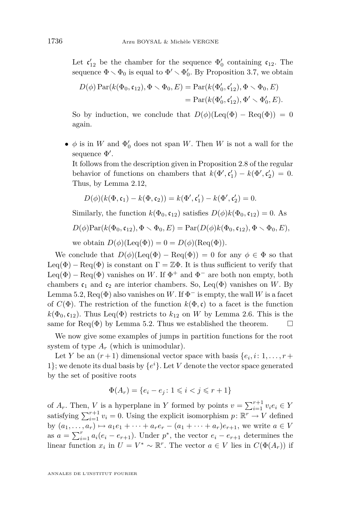Let  $\mathfrak{c}'_{12}$  be the chamber for the sequence  $\Phi'_0$  containing  $\mathfrak{c}_{12}$ . The sequence  $\Phi \setminus \Phi_0$  is equal to  $\Phi' \setminus \Phi'_0$ . By Proposition [3.7,](#page-10-0) we obtain

$$
D(\phi) \operatorname{Par}(k(\Phi_0, \mathfrak{c}_{12}), \Phi \setminus \Phi_0, E) = \operatorname{Par}(k(\Phi'_0, \mathfrak{c}'_{12}), \Phi \setminus \Phi_0, E)
$$
  
= 
$$
\operatorname{Par}(k(\Phi'_0, \mathfrak{c}'_{12}), \Phi' \setminus \Phi'_0, E).
$$

So by induction, we conclude that  $D(\phi)(\text{Leq}(\Phi) - \text{Req}(\Phi)) = 0$ again.

**•**  $\phi$  is in *W* and  $\Phi'_0$  does not span *W*. Then *W* is not a wall for the sequence  $Φ'$ .

It follows from the description given in Proposition [2.8](#page-7-0) of the regular behavior of functions on chambers that  $k(\Phi', \mathfrak{c}'_1) - k(\Phi', \mathfrak{c}'_2) = 0$ . Thus, by Lemma [2.12,](#page-8-0)

$$
D(\phi)(k(\Phi, \mathfrak{c}_1) - k(\Phi, \mathfrak{c}_2)) = k(\Phi', \mathfrak{c}'_1) - k(\Phi', \mathfrak{c}'_2) = 0.
$$

Similarly, the function  $k(\Phi_0, \mathfrak{c}_{12})$  satisfies  $D(\phi)k(\Phi_0, \mathfrak{c}_{12}) = 0$ . As

$$
D(\phi) \text{Par}(k(\Phi_0, \mathfrak{c}_{12}), \Phi \setminus \Phi_0, E) = \text{Par}(D(\phi) k(\Phi_0, \mathfrak{c}_{12}), \Phi \setminus \Phi_0, E),
$$

we obtain  $D(\phi)(\text{Leq}(\Phi)) = 0 = D(\phi)(\text{Req}(\Phi)).$ 

We conclude that  $D(\phi)(\text{Leq}(\Phi) - \text{Req}(\Phi)) = 0$  for any  $\phi \in \Phi$  so that Leq( $\Phi$ ) – Req( $\Phi$ ) is constant on  $\Gamma = \mathbb{Z}\Phi$ . It is thus sufficient to verify that Leq( $\Phi$ ) – Req( $\Phi$ ) vanishes on *W*. If  $\Phi$ <sup>+</sup> and  $\Phi$ <sup>-</sup> are both non empty, both chambers  $c_1$  and  $c_2$  are interior chambers. So, Leq( $\Phi$ ) vanishes on *W*. By Lemma [5.2,](#page-20-0)  $\text{Req}(\Phi)$  also vanishes on *W*. If  $\Phi^-$  is empty, the wall *W* is a facet of  $C(\Phi)$ . The restriction of the function  $k(\Phi, \mathfrak{c})$  to a facet is the function  $k(\Phi_0, \mathfrak{c}_{12})$ . Thus Leq( $\Phi$ ) restricts to  $k_{12}$  on *W* by Lemma [2.6.](#page-5-0) This is the same for Req( $\Phi$ ) by Lemma [5.2.](#page-20-0) Thus we established the theorem.  $\square$ 

We now give some examples of jumps in partition functions for the root system of type  $A_r$  (which is unimodular).

Let *Y* be an  $(r+1)$  dimensional vector space with basis  $\{e_i, i: 1, \ldots, r+\}$ 1}; we denote its dual basis by  $\{e^{i}\}$ . Let *V* denote the vector space generated by the set of positive roots

$$
\Phi(A_r) = \{e_i - e_j \colon 1 \leq i < j \leq r + 1\}
$$

of  $A_r$ . Then, *V* is a hyperplane in *Y* formed by points  $v = \sum_{i=1}^{r+1} v_i e_i \in Y$ satisfying  $\sum_{i=1}^{r+1} v_i = 0$ . Using the explicit isomorphism  $p: \mathbb{R}^r \to V$  defined by  $(a_1, ..., a_r) \mapsto a_1 e_1 + \cdots + a_r e_r - (a_1 + \cdots + a_r) e_{r+1}$ , we write  $a \in V$ as  $a = \sum_{i=1}^{r} a_i(e_i - e_{r+1})$ . Under  $p^*$ , the vector  $e_i - e_{r+1}$  determines the linear function  $x_i$  in  $U = V^* \sim \mathbb{R}^r$ . The vector  $a \in V$  lies in  $C(\Phi(A_r))$  if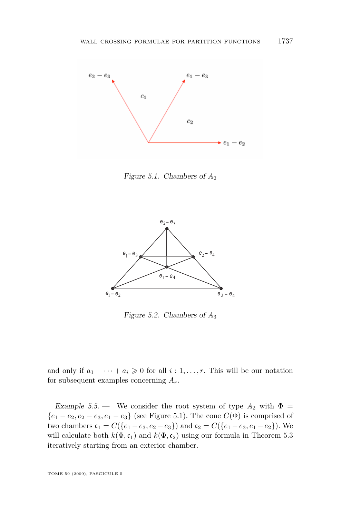<span id="page-23-0"></span>

Figure 5.1. Chambers of *A*<sup>2</sup>



Figure 5.2. Chambers of *A*<sup>3</sup>

and only if  $a_1 + \cdots + a_i \geq 0$  for all  $i: 1, \ldots, r$ . This will be our notation for subsequent examples concerning *Ar*.

Example 5.5. — We consider the root system of type  $A_2$  with  $\Phi =$ *{* $e_1$  *−*  $e_2$ ,  $e_2$  −  $e_3$ ,  $e_1$  −  $e_3$ } (see Figure 5.1). The cone *C*( $\Phi$ ) is comprised of two chambers  $c_1 = C({e_1 - e_3, e_2 - e_3})$  and  $c_2 = C({e_1 - e_3, e_1 - e_2})$ . We will calculate both  $k(\Phi, \mathfrak{c}_1)$  and  $k(\Phi, \mathfrak{c}_2)$  using our formula in Theorem [5.3](#page-20-0) iteratively starting from an exterior chamber.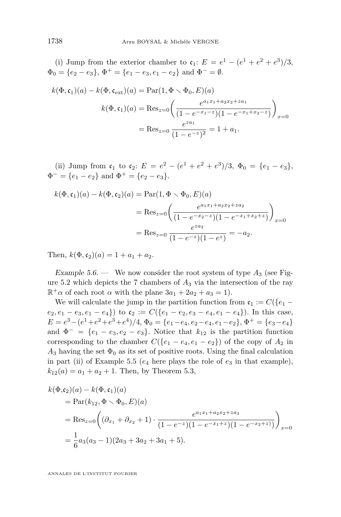(i) Jump from the exterior chamber to  $c_1$ :  $E = e^1 - (e^1 + e^2 + e^3)/3$ ,  $\Phi_0 = \{e_2 - e_3\}, \Phi^+ = \{e_1 - e_3, e_1 - e_2\} \text{ and } \Phi^- = \emptyset.$ 

$$
k(\Phi, \mathfrak{c}_1)(a) - k(\Phi, \mathfrak{c}_{\text{ext}})(a) = \text{Par}(1, \Phi \setminus \Phi_0, E)(a)
$$

$$
k(\Phi, \mathfrak{c}_1)(a) = \text{Res}_{z=0} \left( \frac{e^{a_1 x_1 + a_2 x_2 + z a_1}}{(1 - e^{-x_1 - z})(1 - e^{-x_1 + x_2 - z})} \right)_{x=0}
$$

$$
= \text{Res}_{z=0} \frac{e^{z a_1}}{(1 - e^{-z})^2} = 1 + a_1.
$$

(ii) Jump from  $\mathfrak{c}_1$  to  $\mathfrak{c}_2$ :  $E = e^2 - (e^1 + e^2 + e^3)/3$ ,  $\Phi_0 = \{e_1 - e_3\}$ ,  $\Phi^- = \{e_1 - e_2\}$  and  $\Phi^+ = \{e_2 - e_3\}.$ 

$$
k(\Phi, \mathfrak{c}_1)(a) - k(\Phi, \mathfrak{c}_2)(a) = \text{Par}(1, \Phi \setminus \Phi_0, E)(a)
$$
  
= Res<sub>z=0</sub> $\left( \frac{e^{a_1 x_1 + a_2 x_2 + z a_2}}{(1 - e^{-x_2 - z})(1 - e^{-x_1 + x_2 + z})} \right)_{x=0}$   
= Res<sub>z=0</sub> $\frac{e^{za_2}}{(1 - e^{-z})(1 - e^z)} = -a_2.$ 

Then,  $k(\Phi, c_2)(a) = 1 + a_1 + a_2$ .

Example 5.6. — We now consider the root system of type  $A_3$  (see Figure [5.2](#page-23-0) which depicts the 7 chambers of *A*<sup>3</sup> via the intersection of the ray  $\mathbb{R}^+\alpha$  of each root  $\alpha$  with the plane  $3a_1 + 2a_2 + a_3 = 1$ .

We will calculate the jump in the partition function from  $c_1 := C({e_1$  $e_2, e_1 - e_3, e_1 - e_4$ } to  $c_2 := C({e_1 - e_2, e_3 - e_4, e_1 - e_4})$ . In this case,  $E = e^{3} - (e^{1} + e^{2} + e^{3} + e^{4})/4$ ,  $\Phi_0 = \{e_1 - e_4, e_2 - e_4, e_1 - e_2\}$ ,  $\Phi^{+} = \{e_3 - e_4\}$ and  $\Phi^- = \{e_1 - e_3, e_2 - e_3\}$ . Notice that  $k_{12}$  is the partition function corresponding to the chamber  $C({e_1 - e_4, e_1 - e_2})$  of the copy of  $A_2$  in  $A_3$  having the set  $\Phi_0$  as its set of positive roots. Using the final calculation in part (ii) of Example [5.5](#page-23-0) ( $e_4$  here plays the role of  $e_3$  in that example),  $k_{12}(a) = a_1 + a_2 + 1$ . Then, by Theorem [5.3,](#page-20-0)

$$
k(\Phi, c_2)(a) - k(\Phi, c_1)(a)
$$
  
= Par $(k_{12}, \Phi \setminus \Phi_0, E)(a)$   
= Res<sub>z=0</sub> $\left( (\partial_{x_1} + \partial_{x_2} + 1) \cdot \frac{e^{a_1x_1 + a_2x_2 + za_3}}{(1 - e^{-z})(1 - e^{-x_1+z})(1 - e^{-x_2+z})} \right)_{x=0}$   
=  $\frac{1}{6}a_3(a_3 - 1)(2a_3 + 3a_2 + 3a_1 + 5).$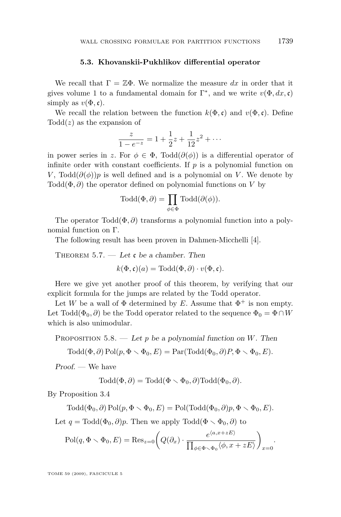#### **5.3. Khovanskii-Pukhlikov differential operator**

<span id="page-25-0"></span>We recall that  $\Gamma = \mathbb{Z}\Phi$ . We normalize the measure dx in order that it gives volume 1 to a fundamental domain for  $\Gamma^*$ , and we write  $v(\Phi, dx, \mathfrak{c})$ simply as  $v(\Phi, \mathfrak{c})$ .

We recall the relation between the function  $k(\Phi, \mathfrak{c})$  and  $v(\Phi, \mathfrak{c})$ . Define Todd(*z*) as the expansion of

$$
\frac{z}{1 - e^{-z}} = 1 + \frac{1}{2}z + \frac{1}{12}z^2 + \cdots
$$

in power series in *z*. For  $\phi \in \Phi$ , Todd $(\partial(\phi))$  is a differential operator of infinite order with constant coefficients. If  $p$  is a polynomial function on *V*, Todd $(\partial(\phi))p$  is well defined and is a polynomial on *V*. We denote by Todd(Φ*, ∂*) the operator defined on polynomial functions on *V* by

$$
\text{ Todd}(\Phi,\partial) = \prod_{\phi \in \Phi} \text{ Todd}(\partial(\phi)).
$$

The operator Todd(Φ*, ∂*) transforms a polynomial function into a polynomial function on Γ.

The following result has been proven in Dahmen-Micchelli [\[4\]](#page-38-0).

THEOREM 5.7. — Let  $\mathfrak c$  be a chamber. Then

$$
k(\Phi, \mathfrak{c})(a) = \text{Total}(\Phi, \partial) \cdot v(\Phi, \mathfrak{c}).
$$

Here we give yet another proof of this theorem, by verifying that our explicit formula for the jumps are related by the Todd operator.

Let *W* be a wall of  $\Phi$  determined by *E*. Assume that  $\Phi^+$  is non empty. Let Todd( $\Phi_0$ ,  $\partial$ ) be the Todd operator related to the sequence  $\Phi_0 = \Phi \cap W$ which is also unimodular.

Proposition 5.8. — Let *p* be a polynomial function on *W*. Then

 $\text{Total}(\Phi, \partial) \text{Pol}(p, \Phi \setminus \Phi_0, E) = \text{Par}(\text{Total}(\Phi_0, \partial) P, \Phi \setminus \Phi_0, E).$ 

Proof. — We have

$$
Todd(\Phi, \partial) = Todd(\Phi \setminus \Phi_0, \partial) Todd(\Phi_0, \partial).
$$

By Proposition [3.4](#page-9-0)

 $\text{Total}(\Phi_0, \partial) \text{Pol}(p, \Phi \setminus \Phi_0, E) = \text{Pol}(\text{Total}(\Phi_0, \partial)p, \Phi \setminus \Phi_0, E).$ 

Let  $q = \text{Total}(\Phi_0, \partial)p$ . Then we apply  $\text{Total}(\Phi \setminus \Phi_0, \partial)$  to

$$
\text{Pol}(q, \Phi \setminus \Phi_0, E) = \text{Res}_{z=0} \bigg( Q(\partial_x) \cdot \frac{e^{\langle a, x+zE \rangle}}{\prod_{\phi \in \Phi \setminus \Phi_0} \langle \phi, x+zE \rangle} \bigg)_{x=0}.
$$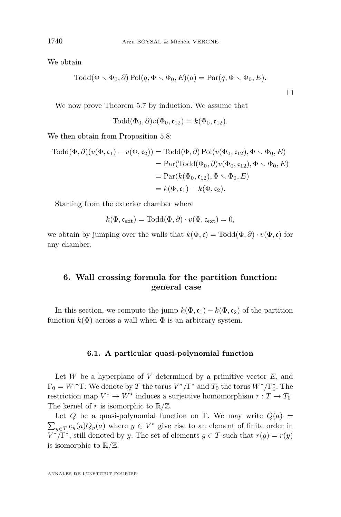We obtain

$$
Todd(\Phi \setminus \Phi_0, \partial) Pol(q, \Phi \setminus \Phi_0, E)(a) = Par(q, \Phi \setminus \Phi_0, E).
$$

 $\Box$ 

We now prove Theorem [5.7](#page-25-0) by induction. We assume that

$$
Todd(\Phi_0, \partial)v(\Phi_0, \mathfrak{c}_{12}) = k(\Phi_0, \mathfrak{c}_{12}).
$$

We then obtain from Proposition [5.8:](#page-25-0)

$$
Todd(\Phi, \partial)(v(\Phi, \mathfrak{c}_1) - v(\Phi, \mathfrak{c}_2)) = Todd(\Phi, \partial) Pol(v(\Phi_0, \mathfrak{c}_{12}), \Phi \setminus \Phi_0, E)
$$
  
= Par(Todd(\Phi\_0, \partial)v(\Phi\_0, \mathfrak{c}\_{12}), \Phi \setminus \Phi\_0, E)  
= Par(k(\Phi\_0, \mathfrak{c}\_{12}), \Phi \setminus \Phi\_0, E)  
= k(\Phi, \mathfrak{c}\_1) - k(\Phi, \mathfrak{c}\_2).

Starting from the exterior chamber where

$$
k(\Phi, \mathfrak{c}_{\mathrm{ext}}) = \mathrm{Todd}(\Phi, \partial) \cdot v(\Phi, \mathfrak{c}_{\mathrm{ext}}) = 0,
$$

we obtain by jumping over the walls that  $k(\Phi, \mathfrak{c}) = \text{Total}(\Phi, \partial) \cdot v(\Phi, \mathfrak{c})$  for any chamber.

#### **6. Wall crossing formula for the partition function: general case**

In this section, we compute the jump  $k(\Phi, \mathfrak{c}_1) - k(\Phi, \mathfrak{c}_2)$  of the partition function  $k(\Phi)$  across a wall when  $\Phi$  is an arbitrary system.

#### **6.1. A particular quasi-polynomial function**

Let  $W$  be a hyperplane of  $V$  determined by a primitive vector  $E$ , and  $\Gamma_0 = W \cap \Gamma$ . We denote by *T* the torus  $V^*/\Gamma^*$  and  $T_0$  the torus  $W^*/\Gamma_0^*$ . The restriction map  $V^* \to W^*$  induces a surjective homomorphism  $r: T \to T_0$ . The kernel of *r* is isomorphic to  $\mathbb{R}/\mathbb{Z}$ .

Let *Q* be a quasi-polynomial function on Γ. We may write  $Q(a)$  =  $\sum_{y \in T} e_y(a) Q_y(a)$  where  $y \in V^*$  give rise to an element of finite order in  $V^*/\Gamma^*$ , still denoted by *y*. The set of elements  $g \in T$  such that  $r(g) = r(y)$ is isomorphic to R*/*Z.

<span id="page-26-0"></span>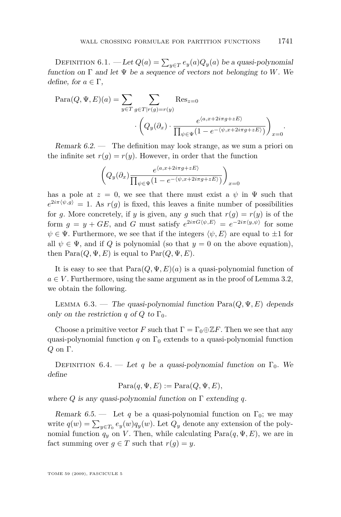<span id="page-27-0"></span>DEFINITION 6.1. — Let  $Q(a) = \sum_{y \in T} e_y(a) Q_y(a)$  be a quasi-polynomial function on  $\Gamma$  and let  $\Psi$  be a sequence of vectors not belonging to *W*. We define, for  $a \in \Gamma$ ,

$$
\begin{aligned} \text{Para}(Q, \Psi, E)(a) &= \sum_{y \in T} \sum_{g \in T | r(g) = r(y)} \text{Res}_{z=0} \\ &\cdot \left( Q_y(\partial_x) \cdot \frac{e^{\langle a, x + 2i\pi g + zE \rangle}}{\prod_{\psi \in \Psi} (1 - e^{-\langle \psi, x + 2i\pi g + zE \rangle})} \right)_{x=0} .\end{aligned}
$$

Remark  $6.2$  — The definition may look strange, as we sum a priori on the infinite set  $r(q) = r(y)$ . However, in order that the function

$$
\left(Q_y(\partial_x)\frac{e^{\langle a,x+2i\pi g+zE\rangle}}{\prod_{\psi\in\Psi}(1-e^{-\langle\psi,x+2i\pi g+zE\rangle})}\right)_{x=0}
$$

has a pole at  $z = 0$ , we see that there must exist a  $\psi$  in  $\Psi$  such that  $e^{2i\pi \langle \psi, g \rangle} = 1$ . As  $r(g)$  is fixed, this leaves a finite number of possibilities for *g*. More concretely, if *y* is given, any *g* such that  $r(g) = r(y)$  is of the form  $g = y + GE$ , and *G* must satisfy  $e^{2i\pi G(\psi, E)} = e^{-2i\pi \langle y, \psi \rangle}$  for some  $\psi \in \Psi$ . Furthermore, we see that if the integers  $\langle \psi, E \rangle$  are equal to  $\pm 1$  for all  $\psi \in \Psi$ , and if *Q* is polynomial (so that  $y = 0$  on the above equation), then  $\text{Para}(Q, \Psi, E)$  is equal to  $\text{Par}(Q, \Psi, E)$ .

It is easy to see that  $Para(Q, \Psi, E)(a)$  is a quasi-polynomial function of  $a \in V$ . Furthermore, using the same argument as in the proof of Lemma [3.2,](#page-8-0) we obtain the following.

LEMMA  $6.3.$  — The quasi-polynomial function  $\text{Para}(Q, \Psi, E)$  depends only on the restriction *q* of *Q* to  $\Gamma_0$ .

Choose a primitive vector *F* such that  $\Gamma = \Gamma_0 \oplus \mathbb{Z}F$ . Then we see that any quasi-polynomial function  $q$  on  $\Gamma_0$  extends to a quasi-polynomial function *Q* on Γ.

DEFINITION 6.4. — Let *q* be a quasi-polynomial function on  $\Gamma_0$ . We define

$$
Para(q, \Psi, E) := Para(Q, \Psi, E),
$$

where *Q* is any quasi-polynomial function on Γ extending *q*.

Remark 6.5. — Let q be a quasi-polynomial function on  $\Gamma_0$ ; we may write  $q(w) = \sum_{y \in T_0} e_y(w) q_y(w)$ . Let  $Q_y$  denote any extension of the polynomial function  $q_y$  on *V*. Then, while calculating  $Para(q, \Psi, E)$ , we are in fact summing over  $q \in T$  such that  $r(q) = y$ .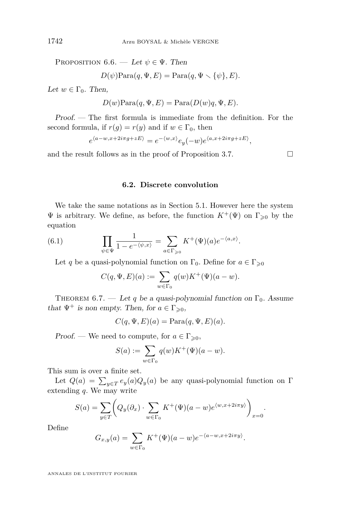<span id="page-28-0"></span>PROPOSITION 6.6. — Let  $\psi \in \Psi$ . Then

 $D(\psi)$ Para $(q, \Psi, E) = \text{Para}(q, \Psi \setminus \{\psi\}, E)$ .

Let  $w \in \Gamma_0$ . Then,

$$
D(w) \text{Para}(q, \Psi, E) = \text{Para}(D(w)q, \Psi, E).
$$

Proof. — The first formula is immediate from the definition. For the second formula, if  $r(g) = r(y)$  and if  $w \in \Gamma_0$ , then

$$
e^{\langle a-w,x+2i\pi g+zE\rangle}=e^{-\langle w,x\rangle}e_y(-w)e^{\langle a,x+2i\pi g+zE\rangle},
$$

and the result follows as in the proof of Proposition [3.7.](#page-10-0)  $\Box$ 

#### **6.2. Discrete convolution**

We take the same notations as in Section [5.1.](#page-17-0) However here the system  $\Psi$  is arbitrary. We define, as before, the function  $K^+(\Psi)$  on Γ<sub>>0</sub> by the equation

(6.1) 
$$
\prod_{\psi \in \Psi} \frac{1}{1 - e^{-\langle \psi, x \rangle}} = \sum_{a \in \Gamma_{\geq 0}} K^+(\Psi)(a) e^{-\langle a, x \rangle}.
$$

Let *q* be a quasi-polynomial function on  $\Gamma_0$ . Define for  $a \in \Gamma_{\geq 0}$ 

$$
C(q, \Psi, E)(a) := \sum_{w \in \Gamma_0} q(w) K^+(\Psi)(a - w).
$$

THEOREM 6.7. — Let q be a quasi-polynomial function on  $\Gamma_0$ . Assume that  $\Psi^+$  is non empty. Then, for  $a \in \Gamma_{\geq 0}$ ,

$$
C(q, \Psi, E)(a) = \text{Para}(q, \Psi, E)(a).
$$

Proof. — We need to compute, for  $a \in \Gamma_{\geqslant 0}$ ,

$$
S(a) := \sum_{w \in \Gamma_0} q(w) K^+(\Psi)(a - w).
$$

This sum is over a finite set.

Let  $Q(a) = \sum_{y \in T} e_y(a) Q_y(a)$  be any quasi-polynomial function on  $\Gamma$ extending *q*. We may write

$$
S(a) = \sum_{y \in T} \left( Q_y(\partial_x) \cdot \sum_{w \in \Gamma_0} K^+(\Psi)(a - w) e^{\langle w, x + 2i\pi y \rangle} \right)_{x = 0}.
$$

Define

$$
G_{x,y}(a) = \sum_{w \in \Gamma_0} K^+(\Psi)(a - w)e^{-\langle a - w, x + 2i\pi y \rangle}.
$$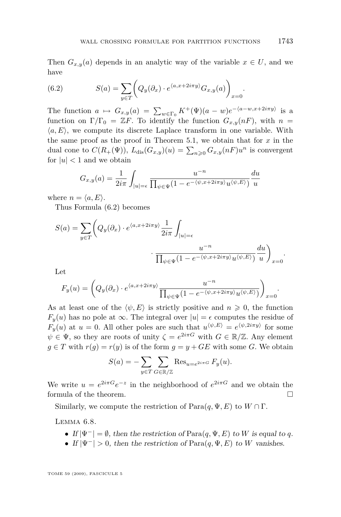*.*

Then  $G_{x,y}(a)$  depends in an analytic way of the variable  $x \in U$ , and we have

(6.2) 
$$
S(a) = \sum_{y \in T} \left( Q_y(\partial_x) \cdot e^{\langle a, x + 2i\pi y \rangle} G_{x,y}(a) \right)_{x=0}
$$

The function  $a \mapsto G_{x,y}(a) = \sum_{w \in \Gamma_0} K^+(\Psi)(a-w)e^{-\langle a-w, x+2i\pi y \rangle}$  is a function on  $\Gamma/\Gamma_0 = ZF$ . To identify the function  $G_{x,y}(nF)$ , with  $n =$  $\langle a, E \rangle$ , we compute its discrete Laplace transform in one variable. With the same proof as the proof in Theorem [5.1,](#page-18-0) we obtain that for *x* in the dual cone to  $C(R_+(\Psi))$ ,  $L_{dis}(G_{x,y})(u) = \sum_{n\geqslant 0} G_{x,y}(nF)u^n$  is convergent for  $|u| < 1$  and we obtain

$$
G_{x,y}(a) = \frac{1}{2i\pi} \int_{|u|=\epsilon} \frac{u^{-n}}{\prod_{\psi \in \Psi} (1 - e^{-\langle \psi, x + 2i\pi y \rangle} u^{\langle \psi, E \rangle})} \frac{du}{u}
$$

where  $n = \langle a, E \rangle$ .

Thus Formula (6.2) becomes

$$
S(a) = \sum_{y \in T} \left( Q_y(\partial_x) \cdot e^{\langle a, x + 2i\pi y \rangle} \frac{1}{2i\pi} \int_{|u| = \epsilon} u^{-n} \cdot \frac{u^{-n}}{\prod_{\psi \in \Psi} (1 - e^{-\langle \psi, x + 2i\pi y \rangle} u^{\langle \psi, E \rangle})} \frac{du}{u} \right)_{x=0}.
$$

Let

$$
F_y(u) = \left(Q_y(\partial_x) \cdot e^{\langle a, x + 2i\pi y \rangle} \frac{u^{-n}}{\prod_{\psi \in \Psi} (1 - e^{-\langle \psi, x + 2i\pi y \rangle} u^{\langle \psi, E \rangle})}\right)_{x=0}.
$$

As at least one of the  $\langle \psi, E \rangle$  is strictly positive and  $n \geq 0$ , the function *F*<sub>*y*</sub>(*u*) has no pole at ∞. The integral over  $|u| = \epsilon$  computes the residue of *F*<sub>*y*</sub>(*u*) at *u* = 0. All other poles are such that  $u^{\langle \psi, E \rangle} = e^{\langle \psi, 2i\pi y \rangle}$  for some  $\psi \in \Psi$ , so they are roots of unity  $\zeta = e^{2i\pi G}$  with  $G \in \mathbb{R}/\mathbb{Z}$ . Any element  $g \in T$  with  $r(g) = r(y)$  is of the form  $g = y + GE$  with some *G*. We obtain

$$
S(a) = -\sum_{y \in T} \sum_{G \in \mathbb{R}/\mathbb{Z}} \text{Res}_{u = e^{2i\pi G}} F_y(u).
$$

We write  $u = e^{2i\pi G}e^{-z}$  in the neighborhood of  $e^{2i\pi G}$  and we obtain the formula of the theorem.

Similarly, we compute the restriction of  $Para(q, \Psi, E)$  to  $W \cap \Gamma$ .

Lemma 6.8.

- *•* If *|*Ψ*<sup>−</sup>|* = *∅*, then the restriction of Para(*q,* Ψ*, E*) to *W* is equal to *q*.
- If  $|\Psi^-| > 0$ , then the restriction of Para $(q, \Psi, E)$  to *W* vanishes.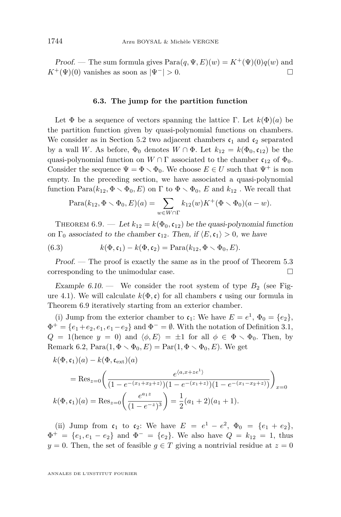<span id="page-30-0"></span>Proof. — The sum formula gives  $Para(q, \Psi, E)(w) = K^+(\Psi)(0)q(w)$  and *K*<sup>+</sup>(Ψ)(0) vanishes as soon as  $|\Psi^-| > 0$ . □

#### **6.3. The jump for the partition function**

Let  $\Phi$  be a sequence of vectors spanning the lattice Γ. Let  $k(\Phi)(a)$  be the partition function given by quasi-polynomial functions on chambers. We consider as in Section [5.2](#page-20-0) two adjacent chambers  $c_1$  and  $c_2$  separated by a wall *W*. As before,  $\Phi_0$  denotes  $W \cap \Phi$ . Let  $k_{12} = k(\Phi_0, \mathfrak{c}_{12})$  be the quasi-polynomial function on  $W \cap \Gamma$  associated to the chamber  $\mathfrak{c}_{12}$  of  $\Phi_0$ . Consider the sequence  $\Psi = \Phi \setminus \Phi_0$ . We choose  $E \in U$  such that  $\Psi^+$  is non empty. In the preceding section, we have associated a quasi-polynomial function  $\text{Para}(k_{12}, \Phi \setminus \Phi_0, E)$  on  $\Gamma$  to  $\Phi \setminus \Phi_0$ ,  $E$  and  $k_{12}$ . We recall that

$$
Para(k_{12}, \Phi \setminus \Phi_0, E)(a) = \sum_{w \in W \cap \Gamma} k_{12}(w) K^+(\Phi \setminus \Phi_0)(a - w).
$$

THEOREM 6.9. — Let  $k_{12} = k(\Phi_0, \mathfrak{c}_{12})$  be the quasi-polynomial function on  $\Gamma_0$  associated to the chamber  $\mathfrak{c}_{12}$ . Then, if  $\langle E, \mathfrak{c}_1 \rangle > 0$ , we have

(6.3) 
$$
k(\Phi, \mathfrak{c}_1) - k(\Phi, \mathfrak{c}_2) = \text{Para}(k_{12}, \Phi \setminus \Phi_0, E).
$$

Proof. — The proof is exactly the same as in the proof of Theorem [5.3](#page-20-0) corresponding to the unimodular case.

Example  $6.10 - W$ e consider the root system of type  $B_2$  (see Fig-ure [4.1\)](#page-16-0). We will calculate  $k(\Phi, \mathfrak{c})$  for all chambers c using our formula in Theorem 6.9 iteratively starting from an exterior chamber.

(i) Jump from the exterior chamber to  $\mathfrak{c}_1$ : We have  $E = e^1$ ,  $\Phi_0 = \{e_2\}$ ,  $\Phi^+ = \{e_1 + e_2, e_1, e_1 - e_2\}$  and  $\Phi^- = \emptyset$ . With the notation of Definition [3.1,](#page-8-0) *Q* = 1(hence *y* = 0) and  $\langle \phi, E \rangle$  =  $\pm 1$  for all  $\phi \in \Phi \setminus \Phi_0$ . Then, by Remark [6.2,](#page-27-0)  $\text{Para}(1, \Phi \setminus \Phi_0, E) = \text{Par}(1, \Phi \setminus \Phi_0, E)$ . We get

$$
k(\Phi, \mathfrak{c}_1)(a) - k(\Phi, \mathfrak{c}_{\text{ext}})(a)
$$
  
= Res<sub>z=0</sub> $\left( \frac{e^{\langle a, x + ze^1 \rangle}}{(1 - e^{-(x_1 + x_2 + z)})(1 - e^{-(x_1 + z)})(1 - e^{-(x_1 - x_2 + z)})} \right)_{x=0}$   

$$
k(\Phi, \mathfrak{c}_1)(a) = \text{Res}_{z=0} \left( \frac{e^{a_1 z}}{(1 - e^{-z})^3} \right) = \frac{1}{2}(a_1 + 2)(a_1 + 1).
$$

(ii) Jump from  $c_1$  to  $c_2$ : We have  $E = e^1 - e^2$ ,  $\Phi_0 = \{e_1 + e_2\}$ ,  $\Phi^+ = \{e_1, e_1 - e_2\}$  and  $\Phi^- = \{e_2\}$ . We also have  $Q = k_{12} = 1$ , thus *y* = 0. Then, the set of feasible *g*  $\in$  *T* giving a nontrivial residue at *z* = 0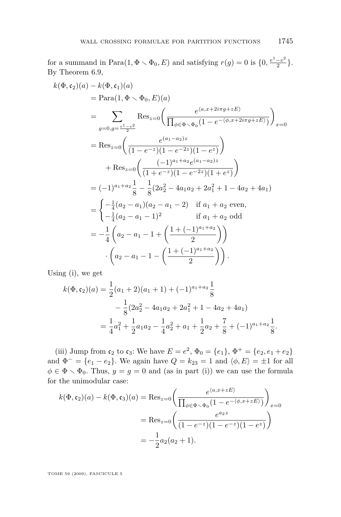for a summand in Para $(1, \Phi \setminus \Phi_0, E)$  and satisfying  $r(g) = 0$  is  $\{0, \frac{e^1 - e^2}{2}\}$  $\frac{-e^{-}}{2}\}.$ By Theorem [6.9,](#page-30-0)

$$
k(\Phi, \mathfrak{c}_2)(a) - k(\Phi, \mathfrak{c}_1)(a)
$$
  
=  $\text{Para}(1, \Phi \setminus \Phi_0, E)(a)$   
=  $\sum_{g=0, g=\frac{e^1-e^2}{2}}$  Res<sub>z=0</sub>  $\left( \frac{e^{\langle a, x+2i\pi g+zE\rangle}}{\prod_{\phi \in \Phi \setminus \Phi_0} (1 - e^{-\langle \phi, x+2i\pi g+zE\rangle})} \right)_{x=0}$   
= Res<sub>z=0</sub>  $\left( \frac{e^{\langle a_1-a_2\rangle z}}{(1 - e^{-z})(1 - e^{-2z})(1 - e^{z})} \right)$   
+ Res<sub>z=0</sub>  $\left( \frac{(-1)^{a_1+a_2}e^{(a_1-a_2)z}}{(1 + e^{-z})(1 - e^{-2z})(1 + e^{z})} \right)$   
=  $(-1)^{a_1+a_2} \frac{1}{8} - \frac{1}{8} (2a_2^2 - 4a_1a_2 + 2a_1^2 + 1 - 4a_2 + 4a_1)$   
=  $\begin{cases} -\frac{1}{4}(a_2 - a_1)(a_2 - a_1 - 2) & \text{if } a_1+a_2 \text{ even,} \\ -\frac{1}{4}(a_2 - a_1 - 1)^2 & \text{if } a_1+a_2 \text{ odd} \end{cases}$   
=  $-\frac{1}{4} \left( a_2 - a_1 - 1 + \left( \frac{1 + (-1)^{a_1+a_2}}{2} \right) \right)$   
 $\cdot \left( a_2 - a_1 - 1 - \left( \frac{1 + (-1)^{a_1+a_2}}{2} \right) \right).$ 

Using (i), we get

$$
k(\Phi, \mathfrak{c}_2)(a) = \frac{1}{2}(a_1 + 2)(a_1 + 1) + (-1)^{a_1 + a_2} \frac{1}{8}
$$
  

$$
- \frac{1}{8}(2a_2^2 - 4a_1a_2 + 2a_1^2 + 1 - 4a_2 + 4a_1)
$$
  

$$
= \frac{1}{4}a_1^2 + \frac{1}{2}a_1a_2 - \frac{1}{4}a_2^2 + a_1 + \frac{1}{2}a_2 + \frac{7}{8} + (-1)^{a_1 + a_2} \frac{1}{8}.
$$

(iii) Jump from  $\mathfrak{c}_2$  to  $\mathfrak{c}_3$ : We have  $E = e^2$ ,  $\Phi_0 = \{e_1\}$ ,  $\Phi^+ = \{e_2, e_1 + e_2\}$ and  $\Phi^- = \{e_1 - e_2\}$ . We again have  $Q = k_{23} = 1$  and  $\langle \phi, E \rangle = \pm 1$  for all  $\phi \in \Phi \setminus \Phi_0$ . Thus,  $y = g = 0$  and (as in part (i)) we can use the formula for the unimodular case:

$$
k(\Phi, \mathfrak{c}_2)(a) - k(\Phi, \mathfrak{c}_3)(a) = \text{Res}_{z=0} \left( \frac{e^{\langle a, x+zE \rangle}}{\prod_{\phi \in \Phi \setminus \Phi_0} (1 - e^{-\langle \phi, x+zE \rangle})} \right)_{x=0}
$$

$$
= \text{Res}_{z=0} \left( \frac{e^{a_2 z}}{(1 - e^{-z})(1 - e^{-z})(1 - e^z)} \right)
$$

$$
= -\frac{1}{2} a_2 (a_2 + 1).
$$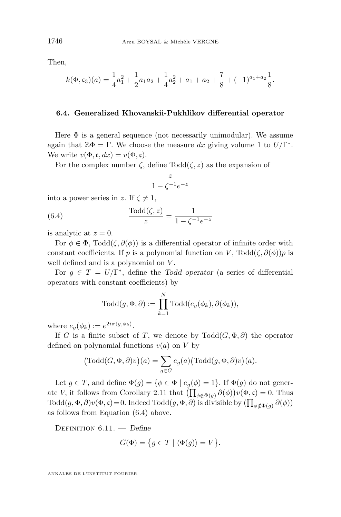Then,

$$
k(\Phi, \mathfrak{c}_3)(a) = \frac{1}{4}a_1^2 + \frac{1}{2}a_1a_2 + \frac{1}{4}a_2^2 + a_1 + a_2 + \frac{7}{8} + (-1)^{a_1 + a_2} \frac{1}{8}.
$$

#### **6.4. Generalized Khovanskii-Pukhlikov differential operator**

Here  $\Phi$  is a general sequence (not necessarily unimodular). We assume again that  $\mathbb{Z}\Phi = \Gamma$ . We choose the measure *dx* giving volume 1 to  $U/\Gamma^*$ . We write  $v(\Phi, \mathfrak{c}, dx) = v(\Phi, \mathfrak{c}).$ 

For the complex number  $\zeta$ , define  $\text{Todd}(\zeta, z)$  as the expansion of

$$
\frac{z}{1-\zeta^{-1}e^{-z}}
$$

into a power series in *z*. If  $\zeta \neq 1$ ,

(6.4) 
$$
\frac{\text{Total}(\zeta, z)}{z} = \frac{1}{1 - \zeta^{-1} e^{-z}}
$$

is analytic at  $z = 0$ .

For  $\phi \in \Phi$ , Todd $(\zeta, \partial(\phi))$  is a differential operator of infinite order with constant coefficients. If *p* is a polynomial function on *V*, Todd( $\zeta$ ,  $\partial(\phi)$ )*p* is well defined and is a polynomial on *V* .

For  $g \in T = U/\Gamma^*$ , define the Todd operator (a series of differential operators with constant coefficients) by

$$
Todd(g, \Phi, \partial) := \prod_{k=1}^{N} Todd(e_g(\phi_k), \partial(\phi_k)),
$$

where  $e_g(\phi_k) := e^{2i\pi \langle g, \phi_k \rangle}$ .

If *G* is a finite subset of *T*, we denote by  $\text{Todd}(G, \Phi, \partial)$  the operator defined on polynomial functions  $v(a)$  on  $V$  by

$$
(\mathrm{Todd}(G,\Phi,\partial)v)(a) = \sum_{g \in G} e_g(a) (\mathrm{Todd}(g,\Phi,\partial)v)(a).
$$

Let  $g \in T$ , and define  $\Phi(g) = \{ \phi \in \Phi \mid e_g(\phi) = 1 \}$ . If  $\Phi(g)$  do not generate *V*, it follows from Corollary [2.11](#page-7-0) that  $\left(\prod_{\phi \notin \Phi(g)} \partial(\phi)\right) v(\Phi, \mathfrak{c}) = 0$ . Thus  $\text{Total}(g, \Phi, \partial)v(\Phi, \mathfrak{c}) = 0.$  Indeed  $\text{Total}(g, \Phi, \partial)$  is divisible by  $(\prod_{\phi \notin \Phi(g)} \partial(\phi))$ as follows from Equation (6.4) above.

DEFINITION  $6.11.$  - Define

$$
G(\Phi) = \{ g \in T \mid \langle \Phi(g) \rangle = V \}.
$$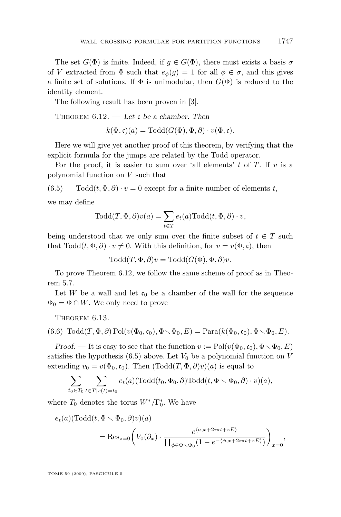The set  $G(\Phi)$  is finite. Indeed, if  $g \in G(\Phi)$ , there must exists a basis  $\sigma$ of *V* extracted from  $\Phi$  such that  $e_{\phi}(q) = 1$  for all  $\phi \in \sigma$ , and this gives a finite set of solutions. If  $\Phi$  is unimodular, then  $G(\Phi)$  is reduced to the identity element.

The following result has been proven in [\[3\]](#page-38-0).

THEOREM  $6.12.$  — Let c be a chamber. Then

 $k(\Phi, \mathfrak{c})(a) = \text{Total}(G(\Phi), \Phi, \partial) \cdot v(\Phi, \mathfrak{c}).$ 

Here we will give yet another proof of this theorem, by verifying that the explicit formula for the jumps are related by the Todd operator.

For the proof, it is easier to sum over 'all elements' *t* of *T*. If *v* is a polynomial function on *V* such that

(6.5) Todd $(t, \Phi, \partial) \cdot v = 0$  except for a finite number of elements *t*,

we may define

$$
Todd(T, \Phi, \partial)v(a) = \sum_{t \in T} e_t(a) \text{Total}(t, \Phi, \partial) \cdot v,
$$

being understood that we only sum over the finite subset of  $t \in T$  such that  $\text{ Todd}(t, \Phi, \partial) \cdot v \neq 0$ . With this definition, for  $v = v(\Phi, \mathfrak{c})$ , then

 $\text{Total}(T, \Phi, \partial)v = \text{Total}(G(\Phi), \Phi, \partial)v.$ 

To prove Theorem 6.12, we follow the same scheme of proof as in Theorem [5.7.](#page-25-0)

Let *W* be a wall and let  $\mathfrak{c}_0$  be a chamber of the wall for the sequence  $\Phi_0 = \Phi \cap W$ . We only need to prove

Theorem 6.13.

(6.6) 
$$
Todd(T, \Phi, \partial) Pol(v(\Phi_0, \mathfrak{c}_0), \Phi \setminus \Phi_0, E) = \text{Para}(k(\Phi_0, \mathfrak{c}_0), \Phi \setminus \Phi_0, E).
$$

Proof. — It is easy to see that the function  $v := \text{Pol}(v(\Phi_0, \mathfrak{c}_0), \Phi \setminus \Phi_0, E)$ satisfies the hypothesis  $(6.5)$  above. Let  $V_0$  be a polynomial function on  $V$ extending  $v_0 = v(\Phi_0, \mathfrak{c}_0)$ . Then  $(\text{Total}(T, \Phi, \partial)v)(a)$  is equal to

$$
\sum_{t_0 \in T_0} \sum_{t \in T | r(t) = t_0} e_t(a) (\text{Todd}(t_0, \Phi_0, \partial) \text{Todd}(t, \Phi \setminus \Phi_0, \partial) \cdot v)(a),
$$

where  $T_0$  denotes the torus  $W^*/\Gamma_0^*$ . We have

$$
e_t(a)(\text{Todd}(t, \Phi \setminus \Phi_0, \partial)v)(a)
$$
  
= Res<sub>z=0</sub> $\left(V_0(\partial_x) \cdot \frac{e^{\langle a, x+2i\pi t + zE\rangle}}{\prod_{\phi \in \Phi \setminus \Phi_0} (1 - e^{-\langle \phi, x+2i\pi t + zE\rangle})}\right)_{x=0},$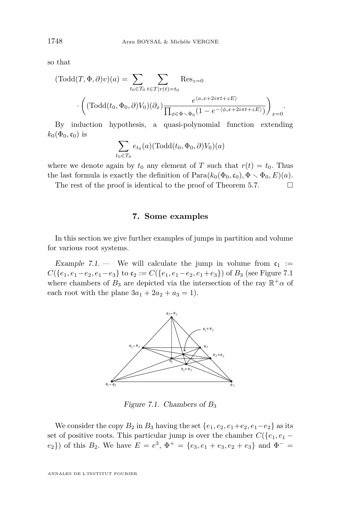<span id="page-34-0"></span>so that

$$
(\text{Todd}(T, \Phi, \partial)v)(a) = \sum_{t_0 \in T_0} \sum_{t \in T | r(t) = t_0} \text{Res}_{z=0}
$$

$$
\cdot \left( (\text{Todd}(t_0, \Phi_0, \partial) V_0)(\partial_x) \frac{e^{\langle a, x + 2i\pi t + zE \rangle}}{\prod_{\phi \in \Phi \setminus \Phi_0} (1 - e^{-\langle \phi, x + 2i\pi t + zE \rangle})} \right)_{x=0}.
$$

By induction hypothesis, a quasi-polynomial function extending  $k_0(\Phi_0, \mathfrak{c}_0)$  is

$$
\sum_{t_0 \in T_0} e_{t_0}(a) (\text{Todd}(t_0, \Phi_0, \partial) V_0)(a)
$$

where we denote again by  $t_0$  any element of *T* such that  $r(t) = t_0$ . Thus the last formula is exactly the definition of  $\text{Para}(k_0(\Phi_0, \mathfrak{c}_0), \Phi \setminus \Phi_0, E)(a)$ .

The rest of the proof is identical to the proof of Theorem [5.7.](#page-25-0)  $\Box$ 

**7. Some examples**

In this section we give further examples of jumps in partition and volume for various root systems.

Example 7.1. — We will calculate the jump in volume from  $c_1 :=$  $C({e_1, e_1-e_2, e_1-e_3}$  to  $c_2 := C({e_1, e_1-e_2, e_1+e_3})$  of  $B_3$  (see Figure 7.1) where chambers of  $B_3$  are depicted via the intersection of the ray  $\mathbb{R}^+\alpha$  of each root with the plane  $3a_1 + 2a_2 + a_3 = 1$ .



Figure 7.1. Chambers of *B*<sup>3</sup>

We consider the copy  $B_2$  in  $B_3$  having the set  $\{e_1, e_2, e_1 + e_2, e_1 - e_2\}$  as its set of positive roots. This particular jump is over the chamber  $C({e_1, e_1 - e_2})$  $(e_2)$ ) of this  $B_2$ . We have  $E = e^3$ ,  $\Phi^+ = \{e_3, e_1 + e_3, e_2 + e_3\}$  and  $\Phi^- =$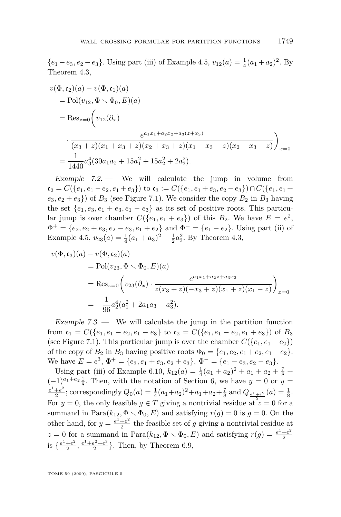${e_1 - e_3, e_2 - e_3}$ . Using part (iii) of Example [4.5,](#page-16-0)  $v_{12}(a) = \frac{1}{4}(a_1 + a_2)^2$ . By Theorem [4.3,](#page-14-0)

$$
v(\Phi, c_2)(a) - v(\Phi, c_1)(a)
$$
  
= Pol(v<sub>12</sub>,  $\Phi \setminus \Phi_0, E$ )(a)  
= Res<sub>z=0</sub> $\left(v_{12}(\partial_x)\right)$   

$$
\cdot \frac{e^{a_1x_1 + a_2x_2 + a_3(z+x_3)}}{(x_3 + z)(x_1 + x_3 + z)(x_2 + x_3 + z)(x_1 - x_3 - z)(x_2 - x_3 - z)}\right)_{x=0}
$$
  
=  $\frac{1}{1440}a_3^4(30a_1a_2 + 15a_1^2 + 15a_2^2 + 2a_3^2).$ 

Example  $7.2$ . We will calculate the jump in volume from  $\mathfrak{c}_2 = C({e_1, e_1 - e_2, e_1 + e_3})$  to  $\mathfrak{c}_3 := C({e_1, e_1 + e_3, e_2 - e_3}) \cap C({e_1, e_1 + e_3, e_2 - e_3})$  $(e_3, e_2 + e_3)$  of  $B_3$  (see Figure [7.1\)](#page-34-0). We consider the copy  $B_2$  in  $B_3$  having the set  $\{e_1, e_3, e_1 + e_3, e_1 - e_3\}$  as its set of positive roots. This particular jump is over chamber  $C({e_1, e_1 + e_3})$  of this  $B_2$ . We have  $E = e^2$ ,  $\Phi^+ = \{e_2, e_2 + e_3, e_2 - e_3, e_1 + e_2\}$  and  $\Phi^- = \{e_1 - e_2\}$ . Using part (ii) of Example [4.5,](#page-16-0)  $v_{23}(a) = \frac{1}{4}(a_1 + a_3)^2 - \frac{1}{2}a_3^2$ . By Theorem [4.3,](#page-14-0)

$$
v(\Phi, \mathfrak{c}_3)(a) - v(\Phi, \mathfrak{c}_2)(a)
$$
  
= Pol(v<sub>23</sub>,  $\Phi \setminus \Phi_0, E$ )(a)  
= Res<sub>z=0</sub> $\left(v_{23}(\partial_x) \cdot \frac{e^{a_1x_1 + a_2z + a_3x_3}}{z(x_3 + z)(-x_3 + z)(x_1 + z)(x_1 - z)}\right)_{x=0}$   
=  $-\frac{1}{96}a_2^4(a_1^2 + 2a_1a_3 - a_3^2).$ 

Example  $7.3.$  — We will calculate the jump in the partition function from  $c_1 = C({e_1, e_1 - e_2, e_1 - e_3}$  to  $c_2 = C({e_1, e_1 - e_2, e_1 + e_3})$  of  $B_3$ (see Figure [7.1\)](#page-34-0). This particular jump is over the chamber  $C({e_1, e_1 - e_2})$ ) of the copy of  $B_2$  in  $B_3$  having positive roots  $\Phi_0 = \{e_1, e_2, e_1 + e_2, e_1 - e_2\}.$ We have  $E = e^3$ ,  $\Phi^+ = \{e_3, e_1 + e_3, e_2 + e_3\}$ ,  $\Phi^- = \{e_1 - e_3, e_2 - e_3\}$ .

Using part (iii) of Example [6.10,](#page-30-0)  $k_{12}(a) = \frac{1}{4}(a_1 + a_2)^2 + a_1 + a_2 + \frac{7}{8}$  $(-1)^{a_1+a_2}\frac{1}{8}$ . Then, with the notation of Section 6, we have  $y=0$  or  $y=$  $e^{1}+e^{2}$  $\frac{1+e^2}{2}$ ; correspondingly  $Q_0(a) = \frac{1}{4}(a_1+a_2)^2 + a_1+a_2+\frac{7}{8}$  and  $Q_{\frac{e^1+e^2}{2}}(a) = \frac{1}{8}$ . For  $y = 0$ , the only feasible  $g \in T$  giving a nontrivial residue at  $\overline{z} = 0$  for a summand in Para $(k_{12}, \Phi \setminus \Phi_0, E)$  and satisfying  $r(g) = 0$  is  $g = 0$ . On the other hand, for  $y = \frac{e^1 + e^2}{2}$  $\frac{+e^2}{2}$  the feasible set of *g* giving a nontrivial residue at  $z = 0$  for a summand in Para $(k_{12}, \Phi \setminus \Phi_0, E)$  and satisfying  $r(g) = \frac{e^1 + e^2}{2}$ 2 is  $\frac{e^1 + e^2}{2}$  $\frac{e^2}{2}, \frac{e^1 + e^2 + e^3}{2}$  $\frac{e^2+e^3}{2}$ . Then, by Theorem [6.9,](#page-30-0)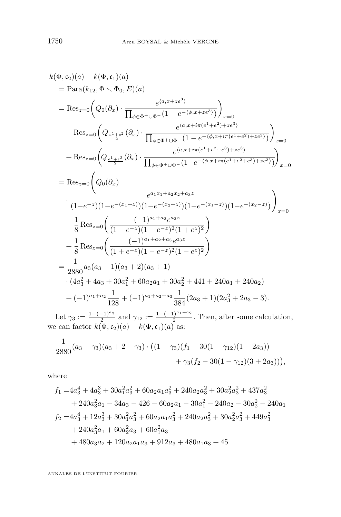$$
k(\Phi, \mathfrak{c}_2)(a) - k(\Phi, \mathfrak{c}_1)(a)
$$
  
\n
$$
= \text{Para}(k_{12}, \Phi \setminus \Phi_0, E)(a)
$$
  
\n
$$
= \text{Res}_{z=0} \left( Q_0(\partial_x) \cdot \frac{e^{(a, x + ze^3)}}{\prod_{\phi \in \Phi^+ \cup \Phi^-} (1 - e^{-(\phi, x + ze^3)})} \right)_{x=0}
$$
  
\n
$$
+ \text{Res}_{z=0} \left( Q_{\frac{e^1 + e^2}{2}}(\partial_x) \cdot \frac{e^{(a, x + i\pi(e^1 + e^2) + ze^3)}}{\prod_{\phi \in \Phi^+ \cup \Phi^-} (1 - e^{-(\phi, x + i\pi(e^1 + e^2) + ze^3)})} \right)_{x=0}
$$
  
\n
$$
+ \text{Res}_{z=0} \left( Q_{\frac{e^1 + e^2}{2}}(\partial_x) \cdot \frac{e^{(a, x + i\pi(e^1 + e^2 + e^3) + ze^3)}}{\prod_{\phi \in \Phi^+ \cup \Phi^-} (1 - e^{-(\phi, x + i\pi(e^1 + e^2 + e^3) + ze^3)})} \right)_{x=0}
$$
  
\n
$$
= \text{Res}_{z=0} \left( Q_0(\partial_x) \cdot \frac{e^{a_1 x_1 + a_2 x_2 + a_3 z}}{(1 - e^{-z})(1 - e^{-(x_1 + z)}) (1 - e^{-(x_1 - z)}) (1 - e^{-(x_1 - z)})} \right)_{x=0}
$$
  
\n
$$
+ \frac{1}{8} \text{Res}_{z=0} \left( \frac{(-1)^{a_1 + a_2} e^{a_3 z}}{(1 - e^{-z})(1 + e^{-z})^2 (1 + e^{z})^2} \right)
$$
  
\n
$$
+ \frac{1}{8} \text{Res}_{z=0} \left( \frac{(-1)^{a_1 + a_2 + a_3} e^{a_3 z}}{(1 + e^{-z})(1 - e^{-z})^2 (1 - e^{z})^2} \right)
$$
  
\n
$$
= \frac{1}{2880} a_3(a_3 - 1)(a_3 + 2)(a_3 + 1)
$$
  
\n
$$
\cdot (4a_3^2 + 4a_3 +
$$

Let  $\gamma_3 := \frac{1 - (-1)^{a_3}}{2}$  $\frac{(n-1)^{a_3}}{2}$  and  $\gamma_{12} := \frac{1-(-1)^{a_1+a_2}}{2}$  $\frac{1}{2}$ . Then, after some calculation, we can factor  $k(\Phi, \mathfrak{c}_2)(a) - k(\Phi, \mathfrak{c}_1)(a)$  as:

$$
\frac{1}{2880}(a_3 - \gamma_3)(a_3 + 2 - \gamma_3) \cdot ((1 - \gamma_3)(f_1 - 30(1 - \gamma_{12})(1 - 2a_3))+\gamma_3(f_2 - 30(1 - \gamma_{12})(3 + 2a_3))),
$$

where

$$
f_1 = 4a_3^4 + 4a_3^3 + 30a_1^2a_3^2 + 60a_2a_1a_3^2 + 240a_2a_3^2 + 30a_2^2a_3^2 + 437a_3^2
$$
  
+ 240a\_3^2a\_1 - 34a\_3 - 426 - 60a\_2a\_1 - 30a\_1^2 - 240a\_2 - 30a\_2^2 - 240a\_1  

$$
f_2 = 4a_3^4 + 12a_3^3 + 30a_1^2a_3^2 + 60a_2a_1a_3^2 + 240a_2a_3^2 + 30a_2^2a_3^2 + 449a_3^2
$$
  
+ 240a\_3^2a\_1 + 60a\_2^2a\_3 + 60a\_1^2a\_3  
+ 480a\_3a\_2 + 120a\_2a\_1a\_3 + 912a\_3 + 480a\_1a\_3 + 45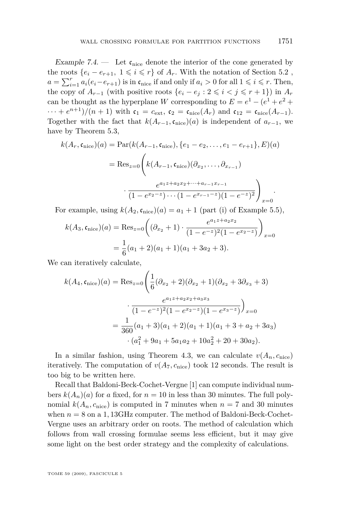Example 7.4. — Let  $\mathfrak{c}_{\text{nice}}$  denote the interior of the cone generated by the roots  $\{e_i - e_{r+1}, 1 \leq i \leq r\}$  of  $A_r$ . With the notation of Section [5.2](#page-20-0),  $a = \sum_{i=1}^{r} a_i (e_i - e_{r+1})$  is in  $\mathfrak{c}_{\text{nice}}$  if and only if  $a_i > 0$  for all  $1 \leq i \leq r$ . Then, the copy of  $A_{r-1}$  (with positive roots  $\{e_i - e_j : 2 \leq i \leq j \leq r+1\}$ ) in  $A_r$ can be thought as the hyperplane *W* corresponding to  $E = e^1 - (e^1 + e^2 +$  $\cdots + e^{n+1}$ / $(n+1)$  with  $\mathfrak{c}_1 = c_{\text{ext}}, \mathfrak{c}_2 = \mathfrak{c}_{\text{nice}}(A_r)$  and  $\mathfrak{c}_{12} = \mathfrak{c}_{\text{nice}}(A_{r-1})$ . Together with the fact that  $k(A_{r-1}, c_{\text{nice}})(a)$  is independent of  $a_{r-1}$ , we have by Theorem [5.3,](#page-20-0)

$$
k(A_r, \mathfrak{c}_{\text{nice}})(a) = \text{Par}(k(A_{r-1}, \mathfrak{c}_{\text{nice}}), \{e_1 - e_2, \dots, e_1 - e_{r+1}\}, E)(a)
$$

$$
= \text{Res}_{z=0} \Bigg( k(A_{r-1}, \mathfrak{c}_{\text{nice}})(\partial_{x_2}, \dots, \partial_{x_{r-1}})
$$

$$
\cdot \frac{e^{a_1 z + a_2 x_2 + \dots + a_{r-1} x_{r-1}}}{(1 - e^{x_2 - z}) \cdots (1 - e^{x_{r-1} - z})(1 - e^{-z})^2} \Bigg)_{x=0}.
$$

For example, using  $k(A_2, \mathfrak{c}_{\text{nice}})(a) = a_1 + 1$  (part (i) of Example [5.5\)](#page-23-0),

$$
k(A_3, \mathfrak{c}_{\text{nice}})(a) = \text{Res}_{z=0} \left( (\partial_{x_2} + 1) \cdot \frac{e^{a_1 z + a_2 x_2}}{(1 - e^{-z})^2 (1 - e^{x_2 - z})} \right)_{x=0}
$$
  
=  $\frac{1}{6} (a_1 + 2)(a_1 + 1)(a_1 + 3a_2 + 3).$ 

We can iteratively calculate,

$$
k(A_4, \mathfrak{c}_{\text{nice}})(a) = \text{Res}_{z=0} \left( \frac{1}{6} (\partial_{x_2} + 2)(\partial_{x_2} + 1)(\partial_{x_2} + 3\partial_{x_3} + 3) \right.
$$

$$
\frac{e^{a_1 z + a_2 x_2 + a_3 x_3}}{(1 - e^{-z})^2 (1 - e^{x_2 - z})(1 - e^{x_3 - z})} \right)_{x=0}
$$

$$
= \frac{1}{360} (a_1 + 3)(a_1 + 2)(a_1 + 1)(a_1 + 3 + a_2 + 3a_3)
$$

$$
\cdot (a_1^2 + 9a_1 + 5a_1a_2 + 10a_2^2 + 20 + 30a_2).
$$

In a similar fashion, using Theorem [4.3,](#page-14-0) we can calculate  $v(A_n, c_{\text{nice}})$ iteratively. The computation of  $v(A_7, c_{\text{nice}})$  took 12 seconds. The result is too big to be written here.

Recall that Baldoni-Beck-Cochet-Vergne [\[1\]](#page-38-0) can compute individual numbers  $k(A_n)(a)$  for *a* fixed, for  $n = 10$  in less than 30 minutes. The full polynomial  $k(A_n, c_{\text{nice}})$  is computed in 7 minutes when  $n = 7$  and 30 minutes when  $n = 8$  on a 1, 13GHz computer. The method of Baldoni-Beck-Cochet-Vergne uses an arbitrary order on roots. The method of calculation which follows from wall crossing formulae seems less efficient, but it may give some light on the best order strategy and the complexity of calculations.